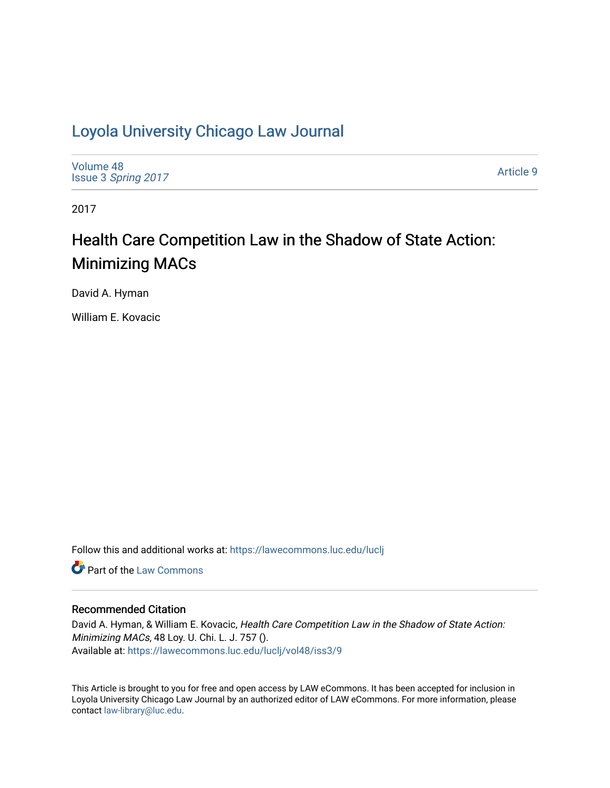# [Loyola University Chicago Law Journal](https://lawecommons.luc.edu/luclj)

[Volume 48](https://lawecommons.luc.edu/luclj/vol48) Issue 3 [Spring 2017](https://lawecommons.luc.edu/luclj/vol48/iss3) 

[Article 9](https://lawecommons.luc.edu/luclj/vol48/iss3/9) 

2017

# Health Care Competition Law in the Shadow of State Action: Minimizing MACs

David A. Hyman

William E. Kovacic

Follow this and additional works at: [https://lawecommons.luc.edu/luclj](https://lawecommons.luc.edu/luclj?utm_source=lawecommons.luc.edu%2Fluclj%2Fvol48%2Fiss3%2F9&utm_medium=PDF&utm_campaign=PDFCoverPages) 

**C** Part of the [Law Commons](http://network.bepress.com/hgg/discipline/578?utm_source=lawecommons.luc.edu%2Fluclj%2Fvol48%2Fiss3%2F9&utm_medium=PDF&utm_campaign=PDFCoverPages)

#### Recommended Citation

David A. Hyman, & William E. Kovacic, Health Care Competition Law in the Shadow of State Action: Minimizing MACs, 48 Loy. U. Chi. L. J. 757 (). Available at: [https://lawecommons.luc.edu/luclj/vol48/iss3/9](https://lawecommons.luc.edu/luclj/vol48/iss3/9?utm_source=lawecommons.luc.edu%2Fluclj%2Fvol48%2Fiss3%2F9&utm_medium=PDF&utm_campaign=PDFCoverPages) 

This Article is brought to you for free and open access by LAW eCommons. It has been accepted for inclusion in Loyola University Chicago Law Journal by an authorized editor of LAW eCommons. For more information, please contact [law-library@luc.edu.](mailto:law-library@luc.edu)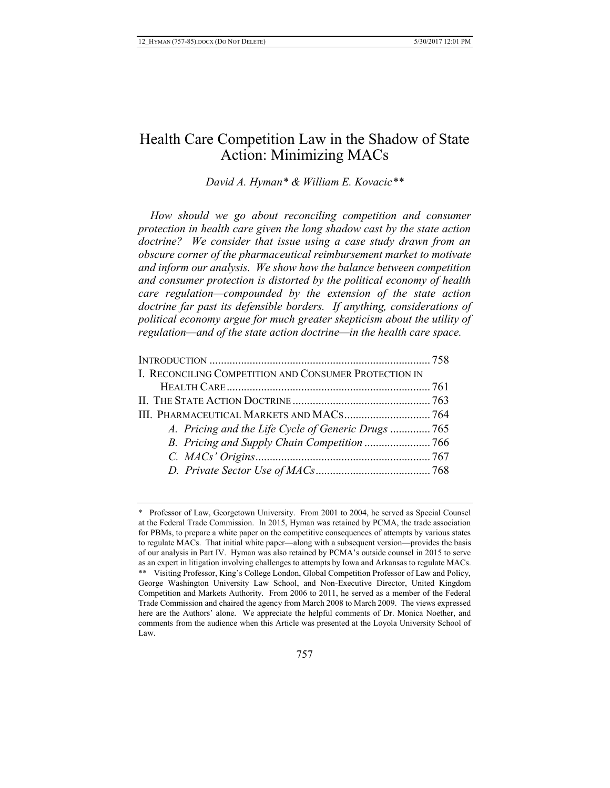# Health Care Competition Law in the Shadow of State Action: Minimizing MACs

*David A. Hyman\* & William E. Kovacic\*\**

*How should we go about reconciling competition and consumer protection in health care given the long shadow cast by the state action doctrine? We consider that issue using a case study drawn from an obscure corner of the pharmaceutical reimbursement market to motivate and inform our analysis. We show how the balance between competition and consumer protection is distorted by the political economy of health care regulation—compounded by the extension of the state action doctrine far past its defensible borders. If anything, considerations of political economy argue for much greater skepticism about the utility of regulation—and of the state action doctrine—in the health care space.*

| I. RECONCILING COMPETITION AND CONSUMER PROTECTION IN |  |
|-------------------------------------------------------|--|
|                                                       |  |
|                                                       |  |
|                                                       |  |
| A. Pricing and the Life Cycle of Generic Drugs  765   |  |
|                                                       |  |
|                                                       |  |
|                                                       |  |

<sup>\*</sup> Professor of Law, Georgetown University. From 2001 to 2004, he served as Special Counsel at the Federal Trade Commission. In 2015, Hyman was retained by PCMA, the trade association for PBMs, to prepare a white paper on the competitive consequences of attempts by various states to regulate MACs. That initial white paper—along with a subsequent version—provides the basis of our analysis in Part IV. Hyman was also retained by PCMA's outside counsel in 2015 to serve as an expert in litigation involving challenges to attempts by Iowa and Arkansas to regulate MACs. \*\* Visiting Professor, King's College London, Global Competition Professor of Law and Policy, George Washington University Law School, and Non-Executive Director, United Kingdom Competition and Markets Authority. From 2006 to 2011, he served as a member of the Federal Trade Commission and chaired the agency from March 2008 to March 2009. The views expressed here are the Authors' alone. We appreciate the helpful comments of Dr. Monica Noether, and comments from the audience when this Article was presented at the Loyola University School of Law.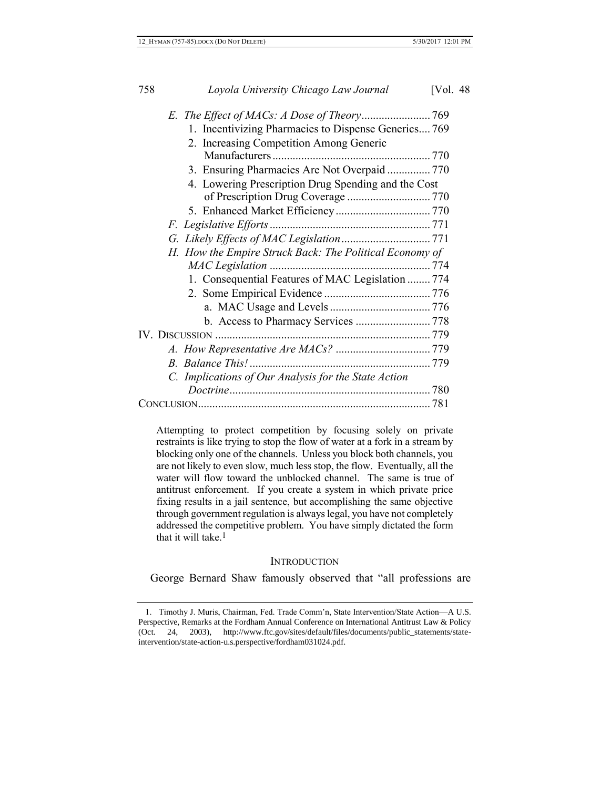| 1. Incentivizing Pharmacies to Dispense Generics 769    |  |
|---------------------------------------------------------|--|
| 2. Increasing Competition Among Generic                 |  |
|                                                         |  |
| 3. Ensuring Pharmacies Are Not Overpaid  770            |  |
| 4. Lowering Prescription Drug Spending and the Cost     |  |
|                                                         |  |
|                                                         |  |
|                                                         |  |
|                                                         |  |
| H. How the Empire Struck Back: The Political Economy of |  |
|                                                         |  |
| 1. Consequential Features of MAC Legislation  774       |  |
|                                                         |  |
|                                                         |  |
|                                                         |  |
|                                                         |  |
|                                                         |  |
|                                                         |  |
| C. Implications of Our Analysis for the State Action    |  |
|                                                         |  |
|                                                         |  |

Attempting to protect competition by focusing solely on private restraints is like trying to stop the flow of water at a fork in a stream by blocking only one of the channels. Unless you block both channels, you are not likely to even slow, much less stop, the flow. Eventually, all the water will flow toward the unblocked channel. The same is true of antitrust enforcement. If you create a system in which private price fixing results in a jail sentence, but accomplishing the same objective through government regulation is always legal, you have not completely addressed the competitive problem. You have simply dictated the form that it will take  $1$ 

#### <span id="page-2-0"></span>**INTRODUCTION**

George Bernard Shaw famously observed that "all professions are

<sup>1.</sup> Timothy J. Muris, Chairman, Fed. Trade Comm'n, State Intervention/State Action—A U.S. Perspective, Remarks at the Fordham Annual Conference on International Antitrust Law & Policy (Oct. 24, 2003), http://www.ftc.gov/sites/default/files/documents/public\_statements/stateintervention/state-action-u.s.perspective/fordham031024.pdf.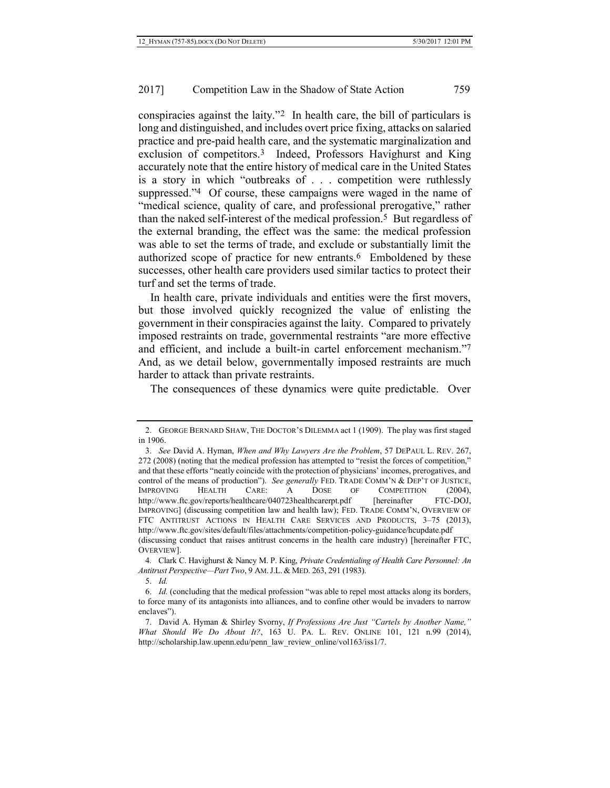<span id="page-3-0"></span>conspiracies against the laity."2 In health care, the bill of particulars is long and distinguished, and includes overt price fixing, attacks on salaried practice and pre-paid health care, and the systematic marginalization and exclusion of competitors.3 Indeed, Professors Havighurst and King accurately note that the entire history of medical care in the United States is a story in which "outbreaks of . . . competition were ruthlessly suppressed."<sup>4</sup> Of course, these campaigns were waged in the name of "medical science, quality of care, and professional prerogative," rather than the naked self-interest of the medical profession.5 But regardless of the external branding, the effect was the same: the medical profession was able to set the terms of trade, and exclude or substantially limit the authorized scope of practice for new entrants.6 Emboldened by these successes, other health care providers used similar tactics to protect their turf and set the terms of trade.

In health care, private individuals and entities were the first movers, but those involved quickly recognized the value of enlisting the government in their conspiracies against the laity. Compared to privately imposed restraints on trade, governmental restraints "are more effective and efficient, and include a built-in cartel enforcement mechanism."7 And, as we detail below, governmentally imposed restraints are much harder to attack than private restraints.

<span id="page-3-1"></span>The consequences of these dynamics were quite predictable. Over

<sup>2.</sup> GEORGE BERNARD SHAW, THE DOCTOR'S DILEMMA act 1 (1909). The play was first staged in 1906.

<sup>3.</sup> *See* David A. Hyman, *When and Why Lawyers Are the Problem*, 57 DEPAUL L. REV. 267, 272 (2008) (noting that the medical profession has attempted to "resist the forces of competition," and that these efforts "neatly coincide with the protection of physicians' incomes, prerogatives, and control of the means of production"). *See generally* FED. TRADE COMM'N & DEP'T OF JUSTICE, IMPROVING HEALTH CARE: A DOSE OF COMPETITION (2004), http://www.ftc.gov/reports/healthcare/040723healthcarerpt.pdf [hereinafter FTC-DOJ, IMPROVING] (discussing competition law and health law); FED. TRADE COMM'N, OVERVIEW OF FTC ANTITRUST ACTIONS IN HEALTH CARE SERVICES AND PRODUCTS, 3–75 (2013), http://www.ftc.gov/sites/default/files/attachments/competition-policy-guidance/hcupdate.pdf (discussing conduct that raises antitrust concerns in the health care industry) [hereinafter FTC, OVERVIEW].

<sup>4</sup>*.* Clark C. Havighurst & Nancy M. P. King, *Private Credentialing of Health Care Personnel: An Antitrust Perspective—Part Two*, 9 AM.J.L. & MED. 263, 291 (1983).

<sup>5.</sup> *Id.*

<sup>6.</sup> *Id.* (concluding that the medical profession "was able to repel most attacks along its borders, to force many of its antagonists into alliances, and to confine other would be invaders to narrow enclaves").

<sup>7.</sup> David A. Hyman & Shirley Svorny, *If Professions Are Just "Cartels by Another Name," What Should We Do About It?*, 163 U. PA. L. REV. ONLINE 101, 121 n.99 (2014), http://scholarship.law.upenn.edu/penn\_law\_review\_online/vol163/iss1/7.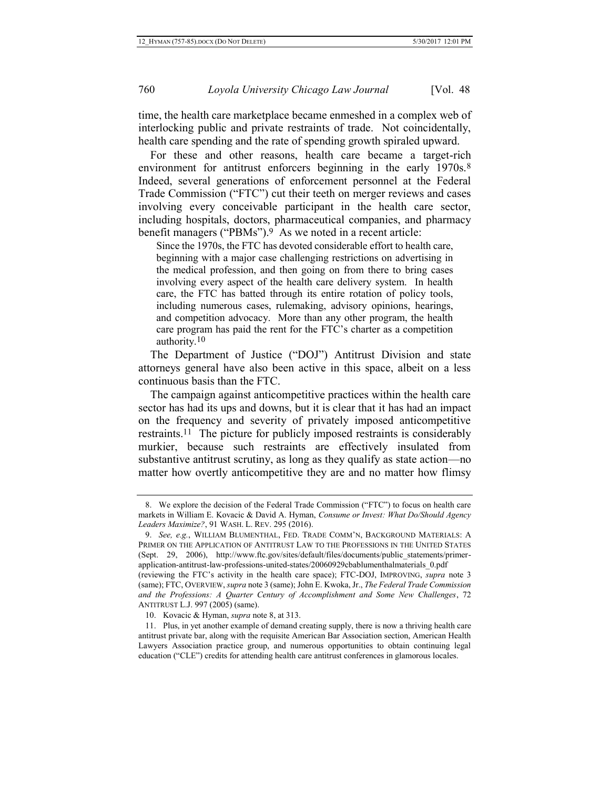time, the health care marketplace became enmeshed in a complex web of interlocking public and private restraints of trade. Not coincidentally, health care spending and the rate of spending growth spiraled upward.

For these and other reasons, health care became a target-rich environment for antitrust enforcers beginning in the early 1970s.<sup>8</sup> Indeed, several generations of enforcement personnel at the Federal Trade Commission ("FTC") cut their teeth on merger reviews and cases involving every conceivable participant in the health care sector, including hospitals, doctors, pharmaceutical companies, and pharmacy benefit managers ("PBMs"). 9 As we noted in a recent article:

<span id="page-4-0"></span>Since the 1970s, the FTC has devoted considerable effort to health care, beginning with a major case challenging restrictions on advertising in the medical profession, and then going on from there to bring cases involving every aspect of the health care delivery system. In health care, the FTC has batted through its entire rotation of policy tools, including numerous cases, rulemaking, advisory opinions, hearings, and competition advocacy. More than any other program, the health care program has paid the rent for the FTC's charter as a competition authority.10

The Department of Justice ("DOJ") Antitrust Division and state attorneys general have also been active in this space, albeit on a less continuous basis than the FTC.

The campaign against anticompetitive practices within the health care sector has had its ups and downs, but it is clear that it has had an impact on the frequency and severity of privately imposed anticompetitive restraints.11 The picture for publicly imposed restraints is considerably murkier, because such restraints are effectively insulated from substantive antitrust scrutiny, as long as they qualify as state action—no matter how overtly anticompetitive they are and no matter how flimsy

<sup>8.</sup> We explore the decision of the Federal Trade Commission ("FTC") to focus on health care markets in William E. Kovacic & David A. Hyman, *Consume or Invest: What Do/Should Agency Leaders Maximize?*, 91 WASH. L. REV. 295 (2016).

<sup>9.</sup> *See, e.g.*, WILLIAM BLUMENTHAL, FED. TRADE COMM'N, BACKGROUND MATERIALS: A PRIMER ON THE APPLICATION OF ANTITRUST LAW TO THE PROFESSIONS IN THE UNITED STATES (Sept. 29, 2006), http://www.ftc.gov/sites/default/files/documents/public\_statements/primerapplication-antitrust-law-professions-united-states/20060929cbablumenthalmaterials\_0.pdf (reviewing the FTC's activity in the health care space); FTC-DOJ, IMPROVING, *supra* note [3](#page-3-0) (same); FTC, OVERVIEW, *supra* not[e 3](#page-3-0) (same); John E. Kwoka, Jr., *The Federal Trade Commission* 

*and the Professions: A Quarter Century of Accomplishment and Some New Challenges*, 72 ANTITRUST L.J. 997 (2005) (same).

<sup>10.</sup> Kovacic & Hyman, *supra* not[e 8,](#page-4-0) at 313.

<sup>11.</sup> Plus, in yet another example of demand creating supply, there is now a thriving health care antitrust private bar, along with the requisite American Bar Association section, American Health Lawyers Association practice group, and numerous opportunities to obtain continuing legal education ("CLE") credits for attending health care antitrust conferences in glamorous locales.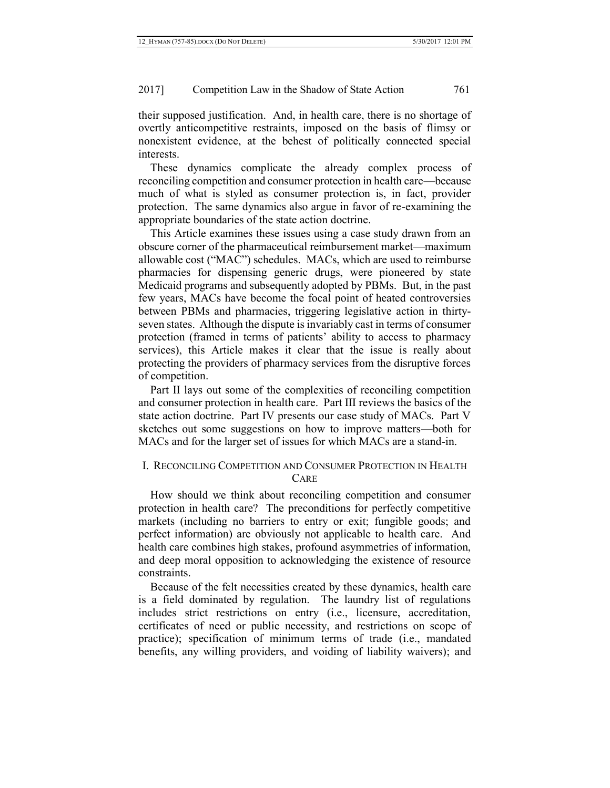their supposed justification. And, in health care, there is no shortage of overtly anticompetitive restraints, imposed on the basis of flimsy or nonexistent evidence, at the behest of politically connected special interests.

These dynamics complicate the already complex process of reconciling competition and consumer protection in health care—because much of what is styled as consumer protection is, in fact, provider protection. The same dynamics also argue in favor of re-examining the appropriate boundaries of the state action doctrine.

This Article examines these issues using a case study drawn from an obscure corner of the pharmaceutical reimbursement market—maximum allowable cost ("MAC") schedules. MACs, which are used to reimburse pharmacies for dispensing generic drugs, were pioneered by state Medicaid programs and subsequently adopted by PBMs. But, in the past few years, MACs have become the focal point of heated controversies between PBMs and pharmacies, triggering legislative action in thirtyseven states. Although the dispute is invariably cast in terms of consumer protection (framed in terms of patients' ability to access to pharmacy services), this Article makes it clear that the issue is really about protecting the providers of pharmacy services from the disruptive forces of competition.

Part II lays out some of the complexities of reconciling competition and consumer protection in health care. Part III reviews the basics of the state action doctrine. Part IV presents our case study of MACs. Part V sketches out some suggestions on how to improve matters—both for MACs and for the larger set of issues for which MACs are a stand-in.

## I. RECONCILING COMPETITION AND CONSUMER PROTECTION IN HEALTH CARE

How should we think about reconciling competition and consumer protection in health care? The preconditions for perfectly competitive markets (including no barriers to entry or exit; fungible goods; and perfect information) are obviously not applicable to health care. And health care combines high stakes, profound asymmetries of information, and deep moral opposition to acknowledging the existence of resource constraints.

Because of the felt necessities created by these dynamics, health care is a field dominated by regulation. The laundry list of regulations includes strict restrictions on entry (i.e., licensure, accreditation, certificates of need or public necessity, and restrictions on scope of practice); specification of minimum terms of trade (i.e., mandated benefits, any willing providers, and voiding of liability waivers); and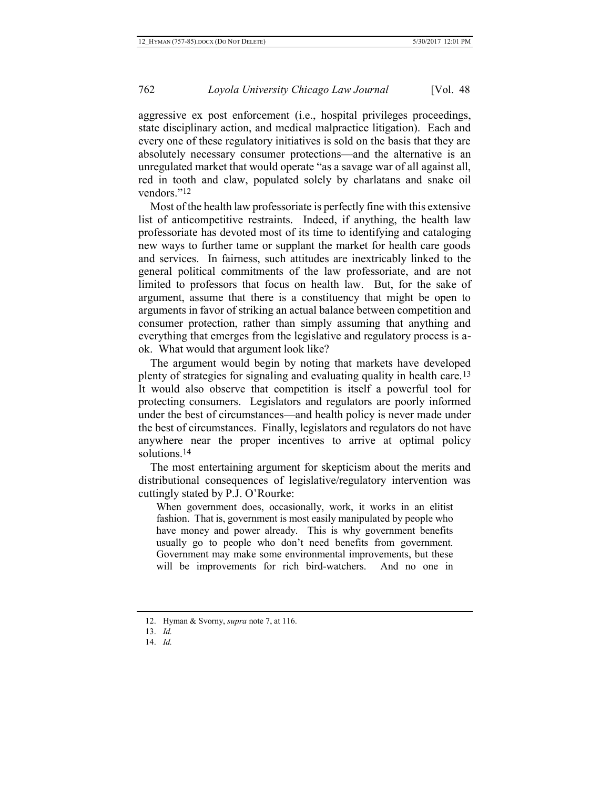aggressive ex post enforcement (i.e., hospital privileges proceedings, state disciplinary action, and medical malpractice litigation). Each and every one of these regulatory initiatives is sold on the basis that they are absolutely necessary consumer protections—and the alternative is an unregulated market that would operate "as a savage war of all against all, red in tooth and claw, populated solely by charlatans and snake oil vendors<sup>"12</sup>

Most of the health law professoriate is perfectly fine with this extensive list of anticompetitive restraints. Indeed, if anything, the health law professoriate has devoted most of its time to identifying and cataloging new ways to further tame or supplant the market for health care goods and services. In fairness, such attitudes are inextricably linked to the general political commitments of the law professoriate, and are not limited to professors that focus on health law. But, for the sake of argument, assume that there is a constituency that might be open to arguments in favor of striking an actual balance between competition and consumer protection, rather than simply assuming that anything and everything that emerges from the legislative and regulatory process is aok. What would that argument look like?

The argument would begin by noting that markets have developed plenty of strategies for signaling and evaluating quality in health care.13 It would also observe that competition is itself a powerful tool for protecting consumers. Legislators and regulators are poorly informed under the best of circumstances—and health policy is never made under the best of circumstances. Finally, legislators and regulators do not have anywhere near the proper incentives to arrive at optimal policy solutions<sup>14</sup>

The most entertaining argument for skepticism about the merits and distributional consequences of legislative/regulatory intervention was cuttingly stated by P.J. O'Rourke:

When government does, occasionally, work, it works in an elitist fashion. That is, government is most easily manipulated by people who have money and power already. This is why government benefits usually go to people who don't need benefits from government. Government may make some environmental improvements, but these will be improvements for rich bird-watchers. And no one in

- 13. *Id.*
- 14. *Id.*

<sup>12.</sup> Hyman & Svorny, *supra* not[e 7,](#page-3-1) at 116.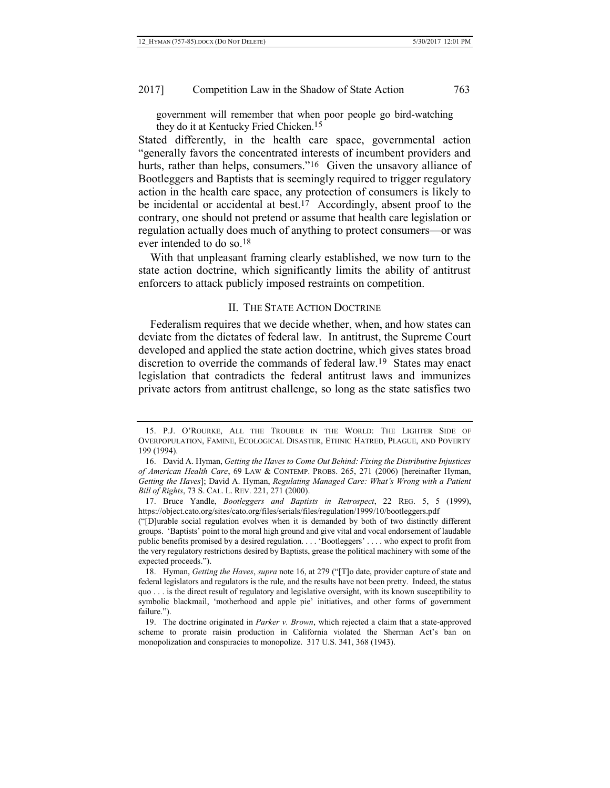<span id="page-7-0"></span>government will remember that when poor people go bird-watching they do it at Kentucky Fried Chicken.15

Stated differently, in the health care space, governmental action "generally favors the concentrated interests of incumbent providers and hurts, rather than helps, consumers."<sup>16</sup> Given the unsavory alliance of Bootleggers and Baptists that is seemingly required to trigger regulatory action in the health care space, any protection of consumers is likely to be incidental or accidental at best.<sup>17</sup> Accordingly, absent proof to the contrary, one should not pretend or assume that health care legislation or regulation actually does much of anything to protect consumers—or was ever intended to do so.18

With that unpleasant framing clearly established, we now turn to the state action doctrine, which significantly limits the ability of antitrust enforcers to attack publicly imposed restraints on competition.

#### II. THE STATE ACTION DOCTRINE

Federalism requires that we decide whether, when, and how states can deviate from the dictates of federal law. In antitrust, the Supreme Court developed and applied the state action doctrine, which gives states broad discretion to override the commands of federal law.19 States may enact legislation that contradicts the federal antitrust laws and immunizes private actors from antitrust challenge, so long as the state satisfies two

<sup>15.</sup> P.J. O'ROURKE, ALL THE TROUBLE IN THE WORLD: THE LIGHTER SIDE OF OVERPOPULATION, FAMINE, ECOLOGICAL DISASTER, ETHNIC HATRED, PLAGUE, AND POVERTY 199 (1994).

<sup>16.</sup> David A. Hyman, *Getting the Haves to Come Out Behind: Fixing the Distributive Injustices of American Health Care*, 69 LAW & CONTEMP. PROBS. 265, 271 (2006) [hereinafter Hyman, *Getting the Haves*]; David A. Hyman, *Regulating Managed Care: What's Wrong with a Patient Bill of Rights*, 73 S. CAL. L. REV. 221, 271 (2000).

<sup>17.</sup> Bruce Yandle, *Bootleggers and Baptists in Retrospect*, 22 REG. 5, 5 (1999), https://object.cato.org/sites/cato.org/files/serials/files/regulation/1999/10/bootleggers.pdf

<sup>(&</sup>quot;[D]urable social regulation evolves when it is demanded by both of two distinctly different groups. 'Baptists' point to the moral high ground and give vital and vocal endorsement of laudable public benefits promised by a desired regulation. . . . 'Bootleggers' . . . . who expect to profit from the very regulatory restrictions desired by Baptists, grease the political machinery with some of the expected proceeds.").

<sup>18.</sup> Hyman, *Getting the Haves*, *supra* note [16](#page-7-0), at 279 ("[T]o date, provider capture of state and federal legislators and regulators is the rule, and the results have not been pretty. Indeed, the status quo . . . is the direct result of regulatory and legislative oversight, with its known susceptibility to symbolic blackmail, 'motherhood and apple pie' initiatives, and other forms of government failure.").

<sup>19.</sup> The doctrine originated in *Parker v. Brown*, which rejected a claim that a state-approved scheme to prorate raisin production in California violated the Sherman Act's ban on monopolization and conspiracies to monopolize. 317 U.S. 341, 368 (1943).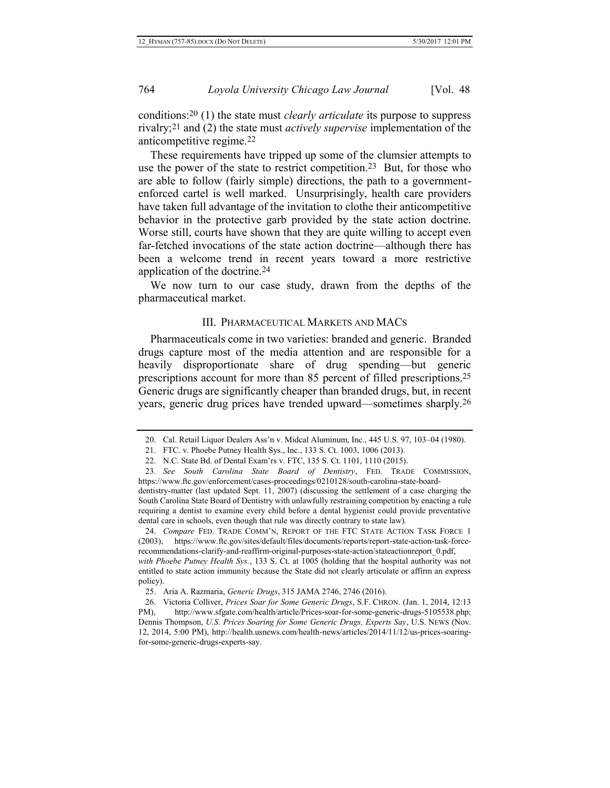conditions: 20 (1) the state must *clearly articulate* its purpose to suppress rivalry; 21 and (2) the state must *actively supervise* implementation of the anticompetitive regime.22

These requirements have tripped up some of the clumsier attempts to use the power of the state to restrict competition.23 But, for those who are able to follow (fairly simple) directions, the path to a governmentenforced cartel is well marked. Unsurprisingly, health care providers have taken full advantage of the invitation to clothe their anticompetitive behavior in the protective garb provided by the state action doctrine. Worse still, courts have shown that they are quite willing to accept even far-fetched invocations of the state action doctrine—although there has been a welcome trend in recent years toward a more restrictive application of the doctrine.24

We now turn to our case study, drawn from the depths of the pharmaceutical market.

#### III. PHARMACEUTICAL MARKETS AND MACS

Pharmaceuticals come in two varieties: branded and generic. Branded drugs capture most of the media attention and are responsible for a heavily disproportionate share of drug spending—but generic prescriptions account for more than 85 percent of filled prescriptions.25 Generic drugs are significantly cheaper than branded drugs, but, in recent years, generic drug prices have trended upward—sometimes sharply.26

<sup>20.</sup> Cal. Retail Liquor Dealers Ass'n v. Midcal Aluminum, Inc., 445 U.S. 97, 103–04 (1980).

<sup>21.</sup> FTC. v. Phoebe Putney Health Sys., Inc., 133 S. Ct. 1003, 1006 (2013).

<sup>22.</sup> N.C. State Bd. of Dental Exam'rs v. FTC, 135 S. Ct. 1101, 1110 (2015).

<sup>23</sup>*. See South Carolina State Board of Dentistry*, FED. TRADE COMMISSION, https://www.ftc.gov/enforcement/cases-proceedings/0210128/south-carolina-state-board-

dentistry-matter (last updated Sept. 11, 2007) (discussing the settlement of a case charging the South Carolina State Board of Dentistry with unlawfully restraining competition by enacting a rule requiring a dentist to examine every child before a dental hygienist could provide preventative dental care in schools, even though that rule was directly contrary to state law).

<sup>24.</sup> *Compare* FED. TRADE COMM'N, REPORT OF THE FTC STATE ACTION TASK FORCE 1 (2003), https://www.ftc.gov/sites/default/files/documents/reports/report-state-action-task-forcerecommendations-clarify-and-reaffirm-original-purposes-state-action/stateactionreport\_0.pdf, *with Phoebe Putney Health Sys.*, 133 S. Ct. at 1005 (holding that the hospital authority was not

entitled to state action immunity because the State did not clearly articulate or affirm an express policy).

<sup>25.</sup> Aria A. Razmaria, *Generic Drugs*, 315 JAMA 2746, 2746 (2016).

<sup>26.</sup> Victoria Colliver, *Prices Soar for Some Generic Drugs*, S.F. CHRON. (Jan. 1, 2014, 12:13 PM), http://www.sfgate.com/health/article/Prices-soar-for-some-generic-drugs-5105538.php; Dennis Thompson, *U.S. Prices Soaring for Some Generic Drugs, Experts Say*, U.S. NEWS (Nov. 12, 2014, 5:00 PM), http://health.usnews.com/health-news/articles/2014/11/12/us-prices-soaringfor-some-generic-drugs-experts-say.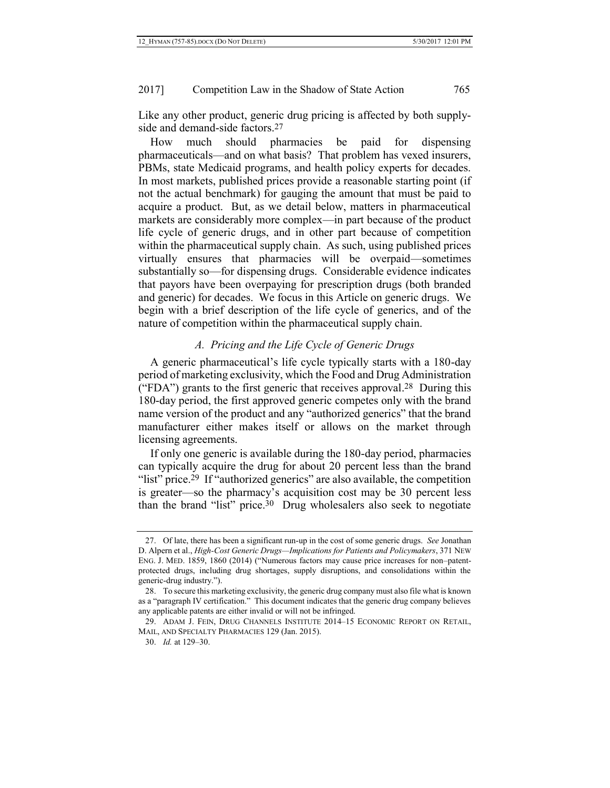Like any other product, generic drug pricing is affected by both supplyside and demand-side factors. 27

How much should pharmacies be paid for dispensing pharmaceuticals—and on what basis? That problem has vexed insurers, PBMs, state Medicaid programs, and health policy experts for decades. In most markets, published prices provide a reasonable starting point (if not the actual benchmark) for gauging the amount that must be paid to acquire a product. But, as we detail below, matters in pharmaceutical markets are considerably more complex—in part because of the product life cycle of generic drugs, and in other part because of competition within the pharmaceutical supply chain. As such, using published prices virtually ensures that pharmacies will be overpaid—sometimes substantially so—for dispensing drugs. Considerable evidence indicates that payors have been overpaying for prescription drugs (both branded and generic) for decades. We focus in this Article on generic drugs. We begin with a brief description of the life cycle of generics, and of the nature of competition within the pharmaceutical supply chain.

# *A. Pricing and the Life Cycle of Generic Drugs*

A generic pharmaceutical's life cycle typically starts with a 180-day period of marketing exclusivity, which the Food and Drug Administration ("FDA") grants to the first generic that receives approval. 28 During this 180-day period, the first approved generic competes only with the brand name version of the product and any "authorized generics" that the brand manufacturer either makes itself or allows on the market through licensing agreements.

If only one generic is available during the 180-day period, pharmacies can typically acquire the drug for about 20 percent less than the brand "list" price.<sup>29</sup> If "authorized generics" are also available, the competition is greater—so the pharmacy's acquisition cost may be 30 percent less than the brand "list" price.30 Drug wholesalers also seek to negotiate

<sup>27.</sup> Of late, there has been a significant run-up in the cost of some generic drugs. *See* Jonathan D. Alpern et al., *High-Cost Generic Drugs—Implications for Patients and Policymakers*, 371 NEW ENG. J. MED. 1859, 1860 (2014) ("Numerous factors may cause price increases for non–patentprotected drugs, including drug shortages, supply disruptions, and consolidations within the generic-drug industry.").

<sup>28.</sup> To secure this marketing exclusivity, the generic drug company must also file what is known as a "paragraph IV certification." This document indicates that the generic drug company believes any applicable patents are either invalid or will not be infringed.

<sup>29.</sup> ADAM J. FEIN, DRUG CHANNELS INSTITUTE 2014–15 ECONOMIC REPORT ON RETAIL, MAIL, AND SPECIALTY PHARMACIES 129 (Jan. 2015).

<sup>30.</sup> *Id.* at 129–30.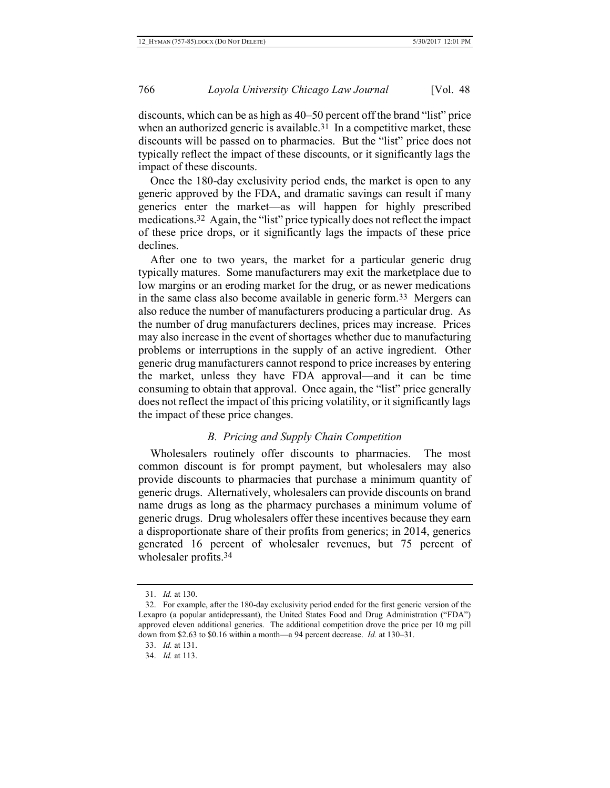discounts, which can be as high as 40–50 percent off the brand "list" price when an authorized generic is available.<sup>31</sup> In a competitive market, these discounts will be passed on to pharmacies. But the "list" price does not typically reflect the impact of these discounts, or it significantly lags the impact of these discounts.

Once the 180-day exclusivity period ends, the market is open to any generic approved by the FDA, and dramatic savings can result if many generics enter the market—as will happen for highly prescribed medications.32 Again, the "list" price typically does not reflect the impact of these price drops, or it significantly lags the impacts of these price declines.

After one to two years, the market for a particular generic drug typically matures. Some manufacturers may exit the marketplace due to low margins or an eroding market for the drug, or as newer medications in the same class also become available in generic form.33 Mergers can also reduce the number of manufacturers producing a particular drug. As the number of drug manufacturers declines, prices may increase. Prices may also increase in the event of shortages whether due to manufacturing problems or interruptions in the supply of an active ingredient. Other generic drug manufacturers cannot respond to price increases by entering the market, unless they have FDA approval—and it can be time consuming to obtain that approval. Once again, the "list" price generally does not reflect the impact of this pricing volatility, or it significantly lags the impact of these price changes.

#### *B. Pricing and Supply Chain Competition*

Wholesalers routinely offer discounts to pharmacies. The most common discount is for prompt payment, but wholesalers may also provide discounts to pharmacies that purchase a minimum quantity of generic drugs. Alternatively, wholesalers can provide discounts on brand name drugs as long as the pharmacy purchases a minimum volume of generic drugs. Drug wholesalers offer these incentives because they earn a disproportionate share of their profits from generics; in 2014, generics generated 16 percent of wholesaler revenues, but 75 percent of wholesaler profits.<sup>34</sup>

<sup>31.</sup> *Id.* at 130.

<sup>32.</sup> For example, after the 180-day exclusivity period ended for the first generic version of the Lexapro (a popular antidepressant), the United States Food and Drug Administration ("FDA") approved eleven additional generics. The additional competition drove the price per 10 mg pill down from \$2.63 to \$0.16 within a month—a 94 percent decrease. *Id.* at 130–31.

<sup>33.</sup> *Id.* at 131.

<sup>34.</sup> *Id.* at 113.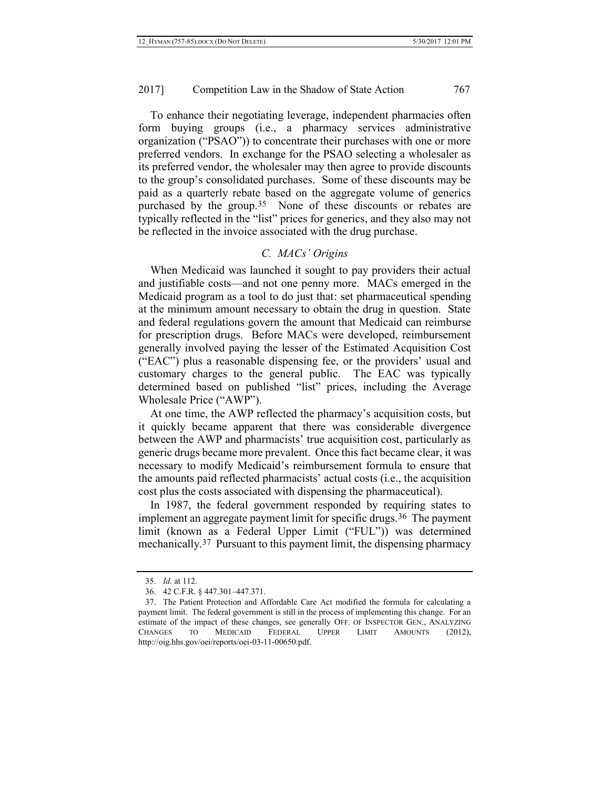To enhance their negotiating leverage, independent pharmacies often form buying groups (i.e., a pharmacy services administrative organization ("PSAO")) to concentrate their purchases with one or more preferred vendors. In exchange for the PSAO selecting a wholesaler as its preferred vendor, the wholesaler may then agree to provide discounts to the group's consolidated purchases. Some of these discounts may be paid as a quarterly rebate based on the aggregate volume of generics purchased by the group.35 None of these discounts or rebates are typically reflected in the "list" prices for generics, and they also may not be reflected in the invoice associated with the drug purchase.

#### *C. MACs' Origins*

When Medicaid was launched it sought to pay providers their actual and justifiable costs—and not one penny more. MACs emerged in the Medicaid program as a tool to do just that: set pharmaceutical spending at the minimum amount necessary to obtain the drug in question. State and federal regulations govern the amount that Medicaid can reimburse for prescription drugs. Before MACs were developed, reimbursement generally involved paying the lesser of the Estimated Acquisition Cost ("EAC") plus a reasonable dispensing fee, or the providers' usual and customary charges to the general public. The EAC was typically determined based on published "list" prices, including the Average Wholesale Price ("AWP").

At one time, the AWP reflected the pharmacy's acquisition costs, but it quickly became apparent that there was considerable divergence between the AWP and pharmacists' true acquisition cost, particularly as generic drugs became more prevalent. Once this fact became clear, it was necessary to modify Medicaid's reimbursement formula to ensure that the amounts paid reflected pharmacists' actual costs (i.e., the acquisition cost plus the costs associated with dispensing the pharmaceutical).

In 1987, the federal government responded by requiring states to implement an aggregate payment limit for specific drugs.36 The payment limit (known as a Federal Upper Limit ("FUL")) was determined mechanically.37 Pursuant to this payment limit, the dispensing pharmacy

<sup>35.</sup> *Id.* at 112.

<sup>36.</sup> 42 C.F.R. § 447.301*–*447.371.

<sup>37.</sup> The Patient Protection and Affordable Care Act modified the formula for calculating a payment limit. The federal government is still in the process of implementing this change. For an estimate of the impact of these changes, see generally OFF. OF INSPECTOR GEN., ANALYZING CHANGES TO MEDICAID FEDERAL UPPER LIMIT AMOUNTS (2012), http://oig.hhs.gov/oei/reports/oei-03-11-00650.pdf.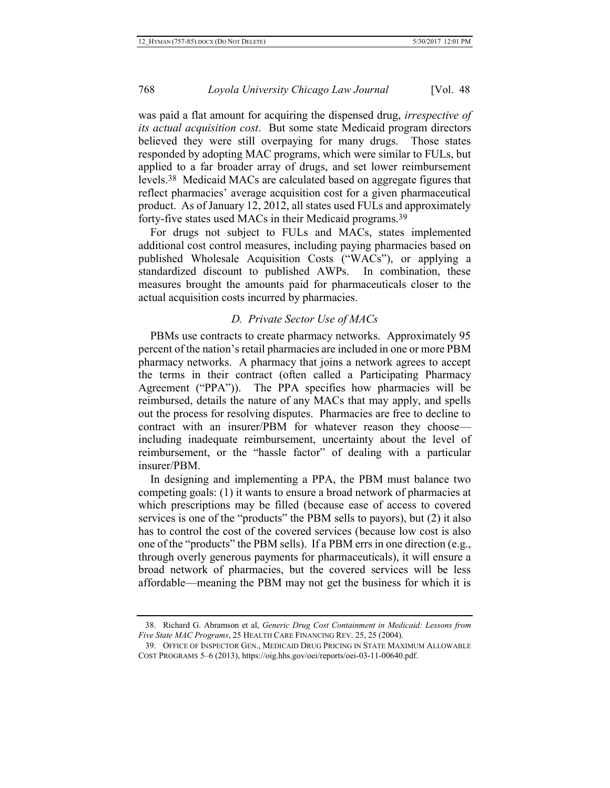was paid a flat amount for acquiring the dispensed drug, *irrespective of its actual acquisition cost*. But some state Medicaid program directors believed they were still overpaying for many drugs. Those states responded by adopting MAC programs, which were similar to FULs, but applied to a far broader array of drugs, and set lower reimbursement levels.38 Medicaid MACs are calculated based on aggregate figures that reflect pharmacies' average acquisition cost for a given pharmaceutical product. As of January 12, 2012, all states used FULs and approximately forty-five states used MACs in their Medicaid programs.39

For drugs not subject to FULs and MACs, states implemented additional cost control measures, including paying pharmacies based on published Wholesale Acquisition Costs ("WACs"), or applying a standardized discount to published AWPs. In combination, these measures brought the amounts paid for pharmaceuticals closer to the actual acquisition costs incurred by pharmacies.

#### *D. Private Sector Use of MACs*

PBMs use contracts to create pharmacy networks. Approximately 95 percent of the nation's retail pharmacies are included in one or more PBM pharmacy networks. A pharmacy that joins a network agrees to accept the terms in their contract (often called a Participating Pharmacy Agreement ("PPA")). The PPA specifies how pharmacies will be reimbursed, details the nature of any MACs that may apply, and spells out the process for resolving disputes. Pharmacies are free to decline to contract with an insurer/PBM for whatever reason they choose including inadequate reimbursement, uncertainty about the level of reimbursement, or the "hassle factor" of dealing with a particular insurer/PBM.

In designing and implementing a PPA, the PBM must balance two competing goals: (1) it wants to ensure a broad network of pharmacies at which prescriptions may be filled (because ease of access to covered services is one of the "products" the PBM sells to payors), but (2) it also has to control the cost of the covered services (because low cost is also one of the "products" the PBM sells). If a PBM errs in one direction (e.g., through overly generous payments for pharmaceuticals), it will ensure a broad network of pharmacies, but the covered services will be less affordable—meaning the PBM may not get the business for which it is

<sup>38.</sup> Richard G. Abramson et al, *Generic Drug Cost Containment in Medicaid: Lessons from Five State MAC Programs*, 25 HEALTH CARE FINANCING REV. 25, 25 (2004).

<sup>39.</sup> OFFICE OF INSPECTOR GEN., MEDICAID DRUG PRICING IN STATE MAXIMUM ALLOWABLE COST PROGRAMS 5–6 (2013), https://oig.hhs.gov/oei/reports/oei-03-11-00640.pdf.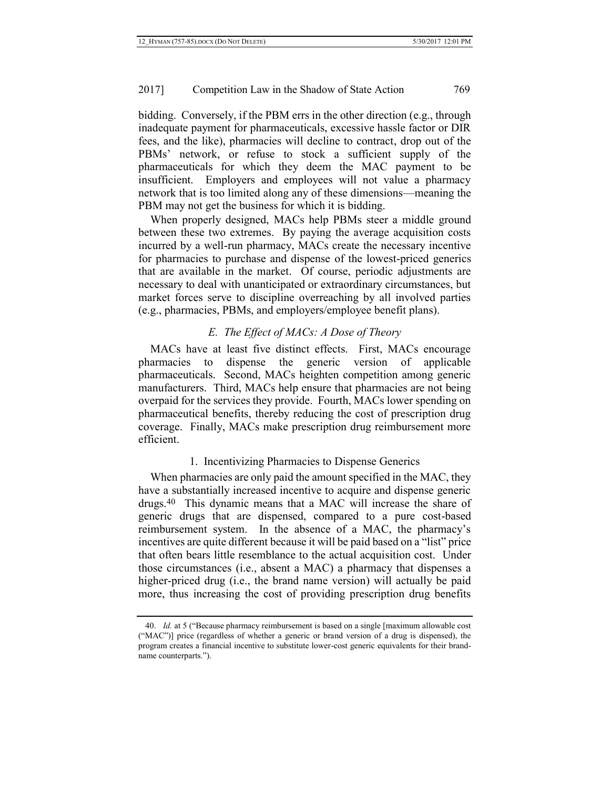bidding. Conversely, if the PBM errs in the other direction (e.g., through inadequate payment for pharmaceuticals, excessive hassle factor or DIR fees, and the like), pharmacies will decline to contract, drop out of the PBMs' network, or refuse to stock a sufficient supply of the pharmaceuticals for which they deem the MAC payment to be insufficient. Employers and employees will not value a pharmacy network that is too limited along any of these dimensions—meaning the PBM may not get the business for which it is bidding.

When properly designed, MACs help PBMs steer a middle ground between these two extremes. By paying the average acquisition costs incurred by a well-run pharmacy, MACs create the necessary incentive for pharmacies to purchase and dispense of the lowest-priced generics that are available in the market. Of course, periodic adjustments are necessary to deal with unanticipated or extraordinary circumstances, but market forces serve to discipline overreaching by all involved parties (e.g., pharmacies, PBMs, and employers/employee benefit plans).

# *E. The Effect of MACs: A Dose of Theory*

MACs have at least five distinct effects. First, MACs encourage pharmacies to dispense the generic version of applicable pharmaceuticals. Second, MACs heighten competition among generic manufacturers. Third, MACs help ensure that pharmacies are not being overpaid for the services they provide. Fourth, MACs lower spending on pharmaceutical benefits, thereby reducing the cost of prescription drug coverage. Finally, MACs make prescription drug reimbursement more efficient.

# 1. Incentivizing Pharmacies to Dispense Generics

When pharmacies are only paid the amount specified in the MAC, they have a substantially increased incentive to acquire and dispense generic drugs.40 This dynamic means that a MAC will increase the share of generic drugs that are dispensed, compared to a pure cost-based reimbursement system. In the absence of a MAC, the pharmacy's incentives are quite different because it will be paid based on a "list" price that often bears little resemblance to the actual acquisition cost. Under those circumstances (i.e., absent a MAC) a pharmacy that dispenses a higher-priced drug (i.e., the brand name version) will actually be paid more, thus increasing the cost of providing prescription drug benefits

<sup>40.</sup> *Id.* at 5 ("Because pharmacy reimbursement is based on a single [maximum allowable cost ("MAC")] price (regardless of whether a generic or brand version of a drug is dispensed), the program creates a financial incentive to substitute lower-cost generic equivalents for their brandname counterparts.").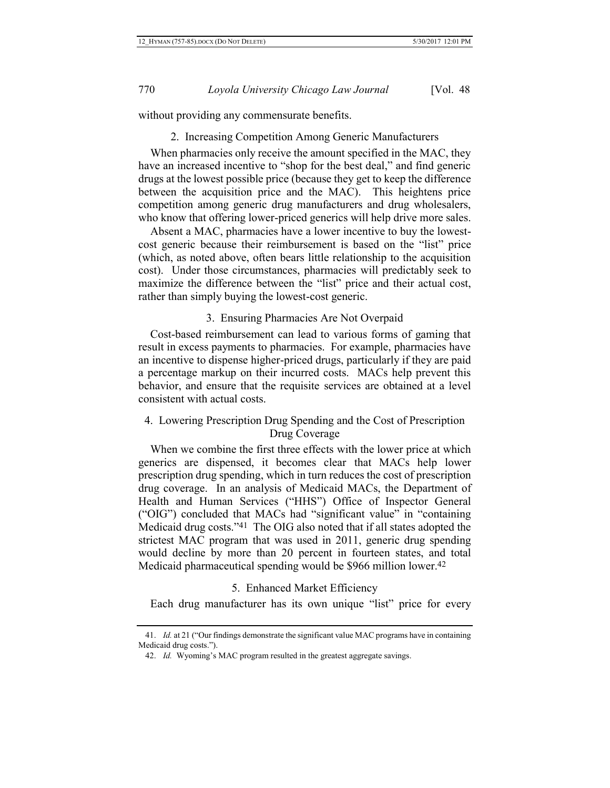without providing any commensurate benefits.

# 2. Increasing Competition Among Generic Manufacturers

When pharmacies only receive the amount specified in the MAC, they have an increased incentive to "shop for the best deal," and find generic drugs at the lowest possible price (because they get to keep the difference between the acquisition price and the MAC). This heightens price competition among generic drug manufacturers and drug wholesalers, who know that offering lower-priced generics will help drive more sales.

Absent a MAC, pharmacies have a lower incentive to buy the lowestcost generic because their reimbursement is based on the "list" price (which, as noted above, often bears little relationship to the acquisition cost). Under those circumstances, pharmacies will predictably seek to maximize the difference between the "list" price and their actual cost, rather than simply buying the lowest-cost generic.

3. Ensuring Pharmacies Are Not Overpaid

Cost-based reimbursement can lead to various forms of gaming that result in excess payments to pharmacies. For example, pharmacies have an incentive to dispense higher-priced drugs, particularly if they are paid a percentage markup on their incurred costs. MACs help prevent this behavior, and ensure that the requisite services are obtained at a level consistent with actual costs.

# 4. Lowering Prescription Drug Spending and the Cost of Prescription Drug Coverage

When we combine the first three effects with the lower price at which generics are dispensed, it becomes clear that MACs help lower prescription drug spending, which in turn reduces the cost of prescription drug coverage. In an analysis of Medicaid MACs, the Department of Health and Human Services ("HHS") Office of Inspector General ("OIG") concluded that MACs had "significant value" in "containing Medicaid drug costs."41 The OIG also noted that if all states adopted the strictest MAC program that was used in 2011, generic drug spending would decline by more than 20 percent in fourteen states, and total Medicaid pharmaceutical spending would be \$966 million lower.42

# 5. Enhanced Market Efficiency

Each drug manufacturer has its own unique "list" price for every

<sup>41.</sup> *Id.* at 21 ("Our findings demonstrate the significant value MAC programs have in containing Medicaid drug costs.").

<sup>42.</sup> *Id.* Wyoming's MAC program resulted in the greatest aggregate savings.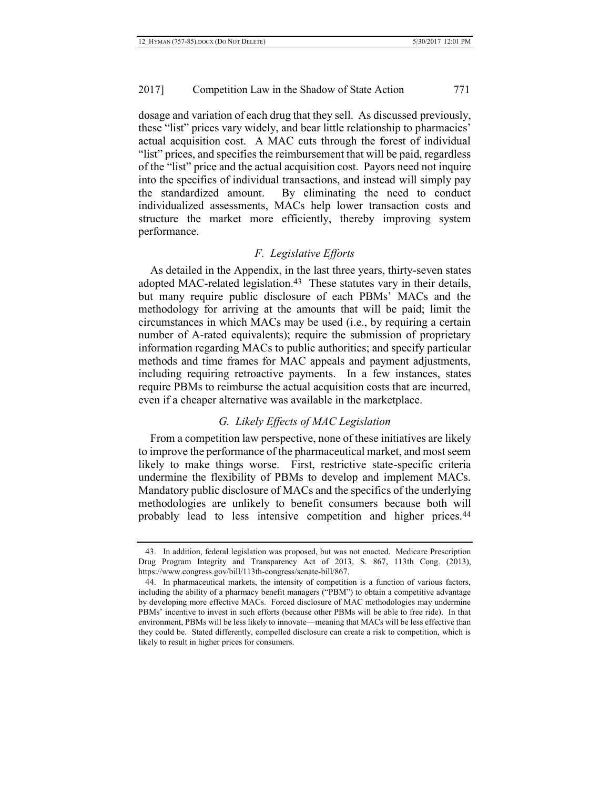dosage and variation of each drug that they sell. As discussed previously, these "list" prices vary widely, and bear little relationship to pharmacies' actual acquisition cost. A MAC cuts through the forest of individual "list" prices, and specifies the reimbursement that will be paid, regardless of the "list" price and the actual acquisition cost. Payors need not inquire into the specifics of individual transactions, and instead will simply pay the standardized amount. By eliminating the need to conduct individualized assessments, MACs help lower transaction costs and structure the market more efficiently, thereby improving system performance.

#### *F. Legislative Efforts*

As detailed in the Appendix, in the last three years, thirty-seven states adopted MAC-related legislation.43 These statutes vary in their details, but many require public disclosure of each PBMs' MACs and the methodology for arriving at the amounts that will be paid; limit the circumstances in which MACs may be used (i.e., by requiring a certain number of A-rated equivalents); require the submission of proprietary information regarding MACs to public authorities; and specify particular methods and time frames for MAC appeals and payment adjustments, including requiring retroactive payments. In a few instances, states require PBMs to reimburse the actual acquisition costs that are incurred, even if a cheaper alternative was available in the marketplace.

#### *G. Likely Effects of MAC Legislation*

From a competition law perspective, none of these initiatives are likely to improve the performance of the pharmaceutical market, and most seem likely to make things worse. First, restrictive state-specific criteria undermine the flexibility of PBMs to develop and implement MACs. Mandatory public disclosure of MACs and the specifics of the underlying methodologies are unlikely to benefit consumers because both will probably lead to less intensive competition and higher prices.44

<sup>43.</sup> In addition, federal legislation was proposed, but was not enacted. Medicare Prescription Drug Program Integrity and Transparency Act of 2013, S. 867, 113th Cong. (2013), https://www.congress.gov/bill/113th-congress/senate-bill/867.

<sup>44.</sup> In pharmaceutical markets, the intensity of competition is a function of various factors, including the ability of a pharmacy benefit managers ("PBM") to obtain a competitive advantage by developing more effective MACs. Forced disclosure of MAC methodologies may undermine PBMs' incentive to invest in such efforts (because other PBMs will be able to free ride). In that environment, PBMs will be less likely to innovate—meaning that MACs will be less effective than they could be. Stated differently, compelled disclosure can create a risk to competition, which is likely to result in higher prices for consumers.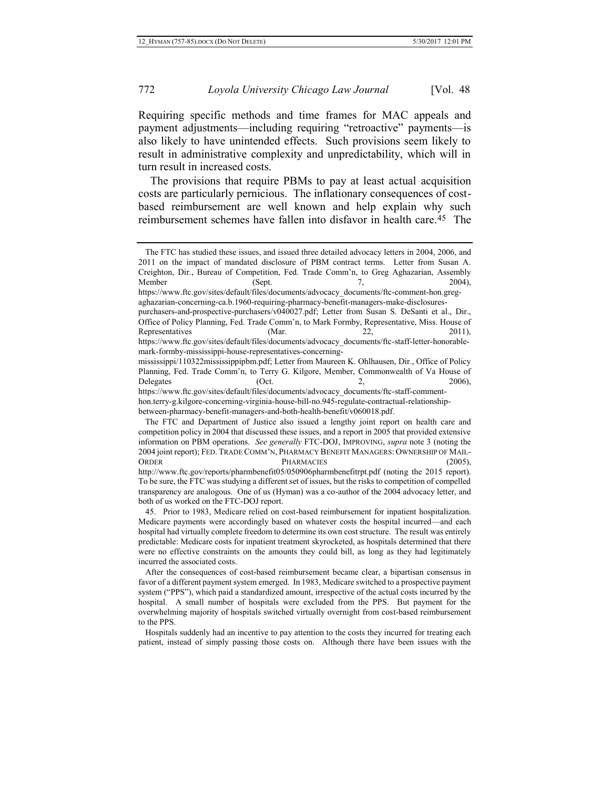Requiring specific methods and time frames for MAC appeals and payment adjustments—including requiring "retroactive" payments—is also likely to have unintended effects. Such provisions seem likely to result in administrative complexity and unpredictability, which will in turn result in increased costs.

The provisions that require PBMs to pay at least actual acquisition costs are particularly pernicious. The inflationary consequences of costbased reimbursement are well known and help explain why such reimbursement schemes have fallen into disfavor in health care.<sup>45</sup> The

both of us worked on the FTC-DOJ report.

45. Prior to 1983, Medicare relied on cost-based reimbursement for inpatient hospitalization. Medicare payments were accordingly based on whatever costs the hospital incurred—and each hospital had virtually complete freedom to determine its own cost structure. The result was entirely predictable: Medicare costs for inpatient treatment skyrocketed, as hospitals determined that there were no effective constraints on the amounts they could bill, as long as they had legitimately incurred the associated costs.

After the consequences of cost-based reimbursement became clear, a bipartisan consensus in favor of a different payment system emerged. In 1983, Medicare switched to a prospective payment system ("PPS"), which paid a standardized amount, irrespective of the actual costs incurred by the hospital. A small number of hospitals were excluded from the PPS. But payment for the overwhelming majority of hospitals switched virtually overnight from cost-based reimbursement to the PPS.

Hospitals suddenly had an incentive to pay attention to the costs they incurred for treating each patient, instead of simply passing those costs on. Although there have been issues with the

The FTC has studied these issues, and issued three detailed advocacy letters in 2004, 2006, and 2011 on the impact of mandated disclosure of PBM contract terms. Letter from Susan A. Creighton, Dir., Bureau of Competition, Fed. Trade Comm'n, to Greg Aghazarian, Assembly Member (Sept. 7, 2004), Member (Sept. 7, 2004), https://www.ftc.gov/sites/default/files/documents/advocacy\_documents/ftc-comment-hon.gregaghazarian-concerning-ca.b.1960-requiring-pharmacy-benefit-managers-make-disclosurespurchasers-and-prospective-purchasers/v040027.pdf; Letter from Susan S. DeSanti et al., Dir., Office of Policy Planning, Fed. Trade Comm'n, to Mark Formby, Representative, Miss. House of Representatives (Mar. 22, 2011), https://www.ftc.gov/sites/default/files/documents/advocacy\_documents/ftc-staff-letter-honorablemark-formby-mississippi-house-representatives-concerning-

mississippi/110322mississippipbm.pdf; Letter from Maureen K. Ohlhausen, Dir., Office of Policy Planning, Fed. Trade Comm'n, to Terry G. Kilgore, Member, Commonwealth of Va House of Delegates  $(Oct. 2, 2006)$ https://www.ftc.gov/sites/default/files/documents/advocacy\_documents/ftc-staff-commenthon.terry-g.kilgore-concerning-virginia-house-bill-no.945-regulate-contractual-relationshipbetween-pharmacy-benefit-managers-and-both-health-benefit/v060018.pdf.

The FTC and Department of Justice also issued a lengthy joint report on health care and competition policy in 2004 that discussed these issues, and a report in 2005 that provided extensive information on PBM operations. *See generally* FTC-DOJ, IMPROVING, *supra* note [3](#page-3-0) (noting the 2004 joint report); FED. TRADE COMM'N, PHARMACY BENEFIT MANAGERS: OWNERSHIP OF MAIL-ORDER PHARMACIES (2005), http://www.ftc.gov/reports/pharmbenefit05/050906pharmbenefitrpt.pdf (noting the 2015 report). To be sure, the FTC was studying a different set of issues, but the risks to competition of compelled transparency are analogous. One of us (Hyman) was a co-author of the 2004 advocacy letter, and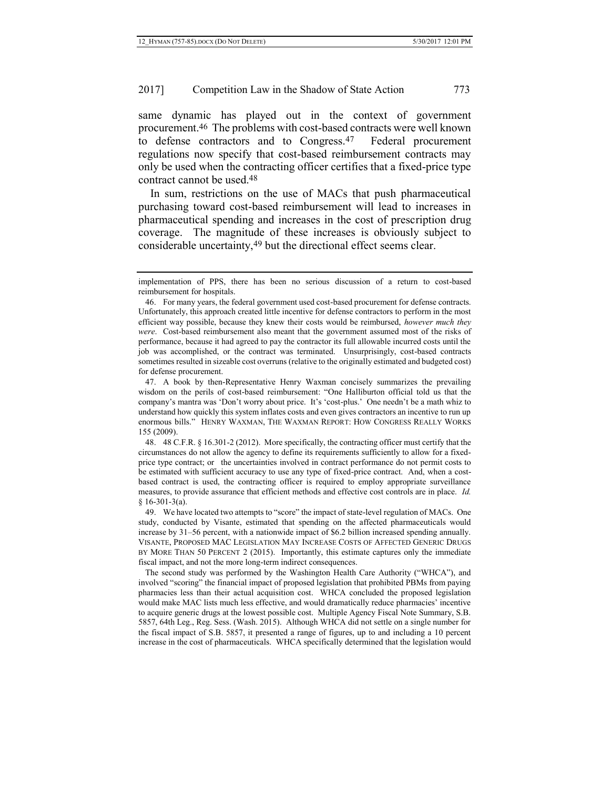same dynamic has played out in the context of government procurement.46 The problems with cost-based contracts were well known to defense contractors and to Congress.47 Federal procurement regulations now specify that cost-based reimbursement contracts may only be used when the contracting officer certifies that a fixed-price type contract cannot be used.48

In sum, restrictions on the use of MACs that push pharmaceutical purchasing toward cost-based reimbursement will lead to increases in pharmaceutical spending and increases in the cost of prescription drug coverage. The magnitude of these increases is obviously subject to considerable uncertainty,49 but the directional effect seems clear.

implementation of PPS, there has been no serious discussion of a return to cost-based reimbursement for hospitals.

<sup>46.</sup> For many years, the federal government used cost-based procurement for defense contracts. Unfortunately, this approach created little incentive for defense contractors to perform in the most efficient way possible, because they knew their costs would be reimbursed, *however much they were*. Cost-based reimbursement also meant that the government assumed most of the risks of performance, because it had agreed to pay the contractor its full allowable incurred costs until the job was accomplished, or the contract was terminated. Unsurprisingly, cost-based contracts sometimes resulted in sizeable cost overruns (relative to the originally estimated and budgeted cost) for defense procurement.

<sup>47.</sup> A book by then-Representative Henry Waxman concisely summarizes the prevailing wisdom on the perils of cost-based reimbursement: "One Halliburton official told us that the company's mantra was 'Don't worry about price. It's 'cost-plus.' One needn't be a math whiz to understand how quickly this system inflates costs and even gives contractors an incentive to run up enormous bills." HENRY WAXMAN, THE WAXMAN REPORT: HOW CONGRESS REALLY WORKS 155 (2009).

<sup>48.</sup> 48 C.F.R. § 16.301-2 (2012). More specifically, the contracting officer must certify that the circumstances do not allow the agency to define its requirements sufficiently to allow for a fixedprice type contract; or the uncertainties involved in contract performance do not permit costs to be estimated with sufficient accuracy to use any type of fixed-price contract. And, when a costbased contract is used, the contracting officer is required to employ appropriate surveillance measures, to provide assurance that efficient methods and effective cost controls are in place. *Id.* § 16-301-3(a).

<sup>49.</sup> We have located two attempts to "score" the impact of state-level regulation of MACs. One study, conducted by Visante, estimated that spending on the affected pharmaceuticals would increase by 31–56 percent, with a nationwide impact of \$6.2 billion increased spending annually. VISANTE, PROPOSED MAC LEGISLATION MAY INCREASE COSTS OF AFFECTED GENERIC DRUGS BY MORE THAN 50 PERCENT 2 (2015). Importantly, this estimate captures only the immediate fiscal impact, and not the more long-term indirect consequences.

The second study was performed by the Washington Health Care Authority ("WHCA"), and involved "scoring" the financial impact of proposed legislation that prohibited PBMs from paying pharmacies less than their actual acquisition cost. WHCA concluded the proposed legislation would make MAC lists much less effective, and would dramatically reduce pharmacies' incentive to acquire generic drugs at the lowest possible cost. Multiple Agency Fiscal Note Summary, S.B. 5857, 64th Leg., Reg. Sess. (Wash. 2015). Although WHCA did not settle on a single number for the fiscal impact of S.B. 5857, it presented a range of figures, up to and including a 10 percent increase in the cost of pharmaceuticals. WHCA specifically determined that the legislation would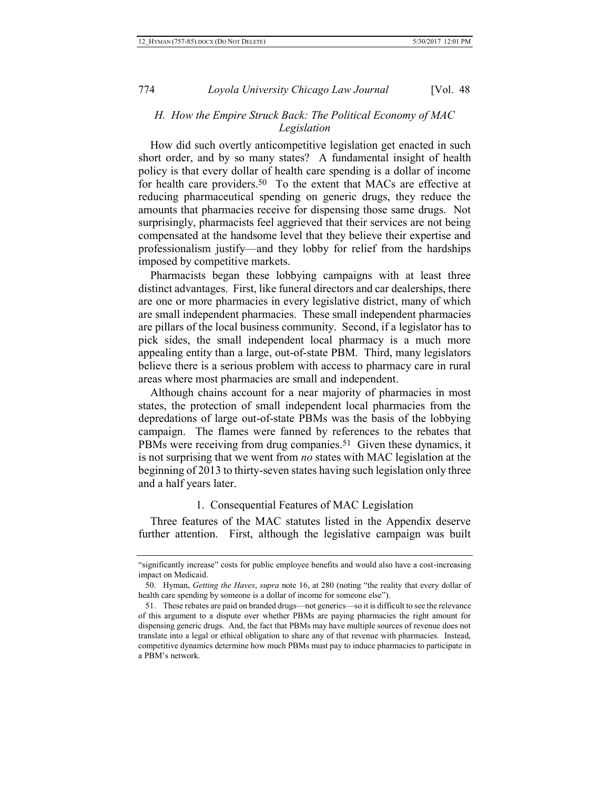# *H. How the Empire Struck Back: The Political Economy of MAC Legislation*

How did such overtly anticompetitive legislation get enacted in such short order, and by so many states? A fundamental insight of health policy is that every dollar of health care spending is a dollar of income for health care providers.<sup>50</sup> To the extent that MACs are effective at reducing pharmaceutical spending on generic drugs, they reduce the amounts that pharmacies receive for dispensing those same drugs. Not surprisingly, pharmacists feel aggrieved that their services are not being compensated at the handsome level that they believe their expertise and professionalism justify—and they lobby for relief from the hardships imposed by competitive markets.

Pharmacists began these lobbying campaigns with at least three distinct advantages. First, like funeral directors and car dealerships, there are one or more pharmacies in every legislative district, many of which are small independent pharmacies. These small independent pharmacies are pillars of the local business community. Second, if a legislator has to pick sides, the small independent local pharmacy is a much more appealing entity than a large, out-of-state PBM. Third, many legislators believe there is a serious problem with access to pharmacy care in rural areas where most pharmacies are small and independent.

Although chains account for a near majority of pharmacies in most states, the protection of small independent local pharmacies from the depredations of large out-of-state PBMs was the basis of the lobbying campaign. The flames were fanned by references to the rebates that PBMs were receiving from drug companies.<sup>51</sup> Given these dynamics, it is not surprising that we went from *no* states with MAC legislation at the beginning of 2013 to thirty-seven states having such legislation only three and a half years later.

# 1. Consequential Features of MAC Legislation

Three features of the MAC statutes listed in the Appendix deserve further attention. First, although the legislative campaign was built

<sup>&</sup>quot;significantly increase" costs for public employee benefits and would also have a cost-increasing impact on Medicaid.

<sup>50.</sup> Hyman, *Getting the Haves*, *supra* note [16](#page-7-0), at 280 (noting "the reality that every dollar of health care spending by someone is a dollar of income for someone else").

<sup>51.</sup> These rebates are paid on branded drugs—not generics—so it is difficult to see the relevance of this argument to a dispute over whether PBMs are paying pharmacies the right amount for dispensing generic drugs. And, the fact that PBMs may have multiple sources of revenue does not translate into a legal or ethical obligation to share any of that revenue with pharmacies. Instead, competitive dynamics determine how much PBMs must pay to induce pharmacies to participate in a PBM's network.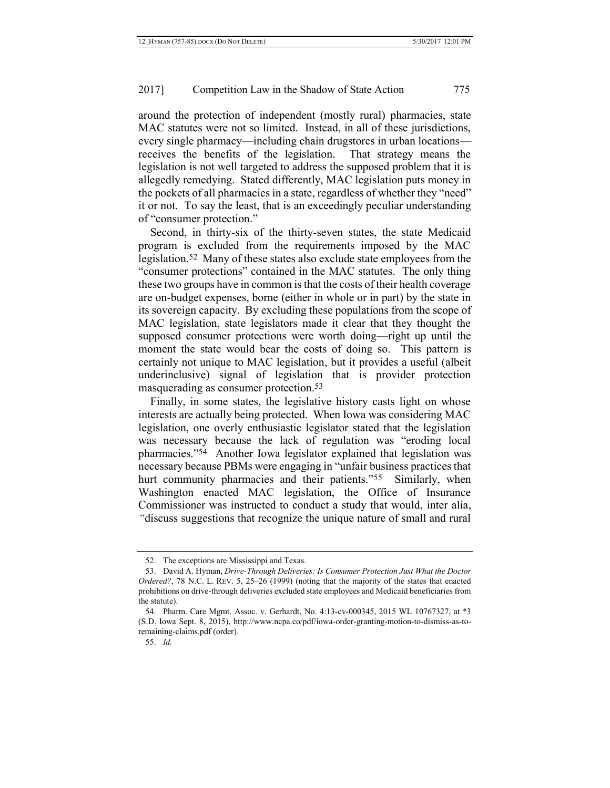around the protection of independent (mostly rural) pharmacies, state MAC statutes were not so limited. Instead, in all of these jurisdictions, every single pharmacy—including chain drugstores in urban locations receives the benefits of the legislation. That strategy means the legislation is not well targeted to address the supposed problem that it is allegedly remedying. Stated differently, MAC legislation puts money in the pockets of all pharmacies in a state, regardless of whether they "need" it or not. To say the least, that is an exceedingly peculiar understanding of "consumer protection."

Second, in thirty-six of the thirty-seven states, the state Medicaid program is excluded from the requirements imposed by the MAC legislation.52 Many of these states also exclude state employees from the "consumer protections" contained in the MAC statutes. The only thing these two groups have in common is that the costs of their health coverage are on-budget expenses, borne (either in whole or in part) by the state in its sovereign capacity. By excluding these populations from the scope of MAC legislation, state legislators made it clear that they thought the supposed consumer protections were worth doing—right up until the moment the state would bear the costs of doing so. This pattern is certainly not unique to MAC legislation, but it provides a useful (albeit underinclusive) signal of legislation that is provider protection masquerading as consumer protection.53

Finally, in some states, the legislative history casts light on whose interests are actually being protected. When Iowa was considering MAC legislation, one overly enthusiastic legislator stated that the legislation was necessary because the lack of regulation was "eroding local pharmacies."54 Another Iowa legislator explained that legislation was necessary because PBMs were engaging in "unfair business practices that hurt community pharmacies and their patients."<sup>55</sup> Similarly, when Washington enacted MAC legislation, the Office of Insurance Commissioner was instructed to conduct a study that would, inter alia, *"*discuss suggestions that recognize the unique nature of small and rural

<sup>52.</sup> The exceptions are Mississippi and Texas.

<sup>53.</sup> David A. Hyman, *Drive-Through Deliveries: Is Consumer Protection Just What the Doctor Ordered?*, 78 N.C. L. REV. 5, 25–26 (1999) (noting that the majority of the states that enacted prohibitions on drive-through deliveries excluded state employees and Medicaid beneficiaries from the statute).

<sup>54.</sup> Pharm. Care Mgmt. Assoc. v. Gerhardt, No. 4:13-cv-000345, 2015 WL 10767327, at \*3 (S.D. Iowa Sept. 8, 2015), http://www.ncpa.co/pdf/iowa-order-granting-motion-to-dismiss-as-toremaining-claims.pdf (order).

<sup>55.</sup> *Id.*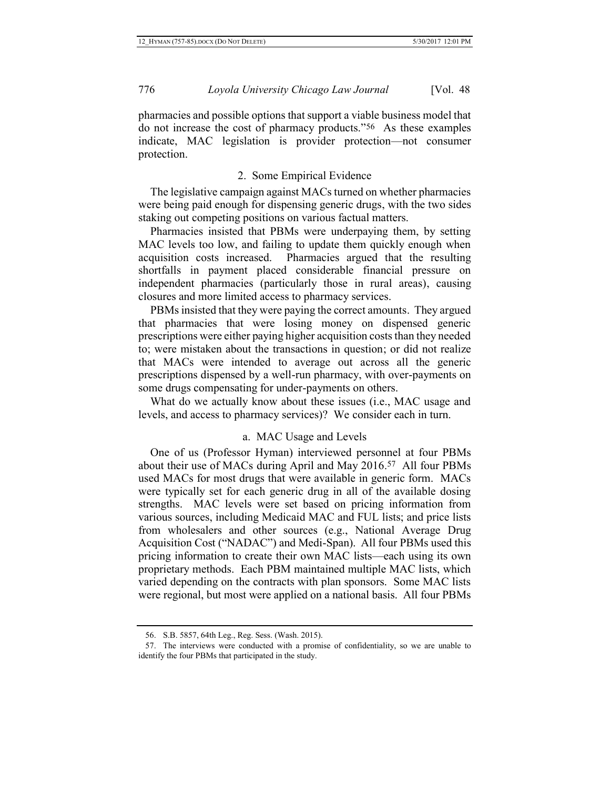pharmacies and possible options that support a viable business model that do not increase the cost of pharmacy products."56 As these examples indicate, MAC legislation is provider protection—not consumer protection.

## 2. Some Empirical Evidence

The legislative campaign against MACs turned on whether pharmacies were being paid enough for dispensing generic drugs, with the two sides staking out competing positions on various factual matters.

Pharmacies insisted that PBMs were underpaying them, by setting MAC levels too low, and failing to update them quickly enough when acquisition costs increased. Pharmacies argued that the resulting shortfalls in payment placed considerable financial pressure on independent pharmacies (particularly those in rural areas), causing closures and more limited access to pharmacy services.

PBMs insisted that they were paying the correct amounts. They argued that pharmacies that were losing money on dispensed generic prescriptions were either paying higher acquisition costs than they needed to; were mistaken about the transactions in question; or did not realize that MACs were intended to average out across all the generic prescriptions dispensed by a well-run pharmacy, with over-payments on some drugs compensating for under-payments on others.

What do we actually know about these issues (i.e., MAC usage and levels, and access to pharmacy services)? We consider each in turn.

#### a. MAC Usage and Levels

One of us (Professor Hyman) interviewed personnel at four PBMs about their use of MACs during April and May 2016. 57 All four PBMs used MACs for most drugs that were available in generic form. MACs were typically set for each generic drug in all of the available dosing strengths. MAC levels were set based on pricing information from various sources, including Medicaid MAC and FUL lists; and price lists from wholesalers and other sources (e.g., National Average Drug Acquisition Cost ("NADAC") and Medi-Span). All four PBMs used this pricing information to create their own MAC lists—each using its own proprietary methods. Each PBM maintained multiple MAC lists, which varied depending on the contracts with plan sponsors. Some MAC lists were regional, but most were applied on a national basis. All four PBMs

<sup>56.</sup> S.B. 5857, 64th Leg., Reg. Sess. (Wash. 2015).

<sup>57.</sup> The interviews were conducted with a promise of confidentiality, so we are unable to identify the four PBMs that participated in the study.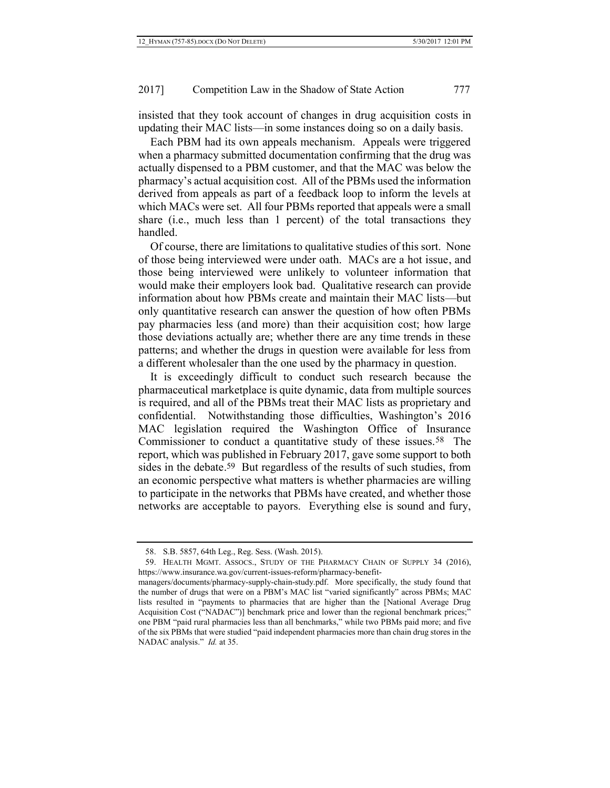insisted that they took account of changes in drug acquisition costs in updating their MAC lists—in some instances doing so on a daily basis.

Each PBM had its own appeals mechanism. Appeals were triggered when a pharmacy submitted documentation confirming that the drug was actually dispensed to a PBM customer, and that the MAC was below the pharmacy's actual acquisition cost. All of the PBMs used the information derived from appeals as part of a feedback loop to inform the levels at which MACs were set. All four PBMs reported that appeals were a small share (i.e., much less than 1 percent) of the total transactions they handled.

Of course, there are limitations to qualitative studies of this sort. None of those being interviewed were under oath. MACs are a hot issue, and those being interviewed were unlikely to volunteer information that would make their employers look bad. Qualitative research can provide information about how PBMs create and maintain their MAC lists—but only quantitative research can answer the question of how often PBMs pay pharmacies less (and more) than their acquisition cost; how large those deviations actually are; whether there are any time trends in these patterns; and whether the drugs in question were available for less from a different wholesaler than the one used by the pharmacy in question.

It is exceedingly difficult to conduct such research because the pharmaceutical marketplace is quite dynamic, data from multiple sources is required, and all of the PBMs treat their MAC lists as proprietary and confidential. Notwithstanding those difficulties, Washington's 2016 MAC legislation required the Washington Office of Insurance Commissioner to conduct a quantitative study of these issues.<sup>58</sup> The report, which was published in February 2017, gave some support to both sides in the debate. 59 But regardless of the results of such studies, from an economic perspective what matters is whether pharmacies are willing to participate in the networks that PBMs have created, and whether those networks are acceptable to payors. Everything else is sound and fury,

<sup>58.</sup> S.B. 5857, 64th Leg., Reg. Sess. (Wash. 2015).

<sup>59.</sup> HEALTH MGMT. ASSOCS., STUDY OF THE PHARMACY CHAIN OF SUPPLY 34 (2016), https://www.insurance.wa.gov/current-issues-reform/pharmacy-benefit-

managers/documents/pharmacy-supply-chain-study.pdf. More specifically, the study found that the number of drugs that were on a PBM's MAC list "varied significantly" across PBMs; MAC lists resulted in "payments to pharmacies that are higher than the [National Average Drug Acquisition Cost ("NADAC")] benchmark price and lower than the regional benchmark prices;" one PBM "paid rural pharmacies less than all benchmarks," while two PBMs paid more; and five of the six PBMs that were studied "paid independent pharmacies more than chain drug stores in the NADAC analysis." *Id.* at 35.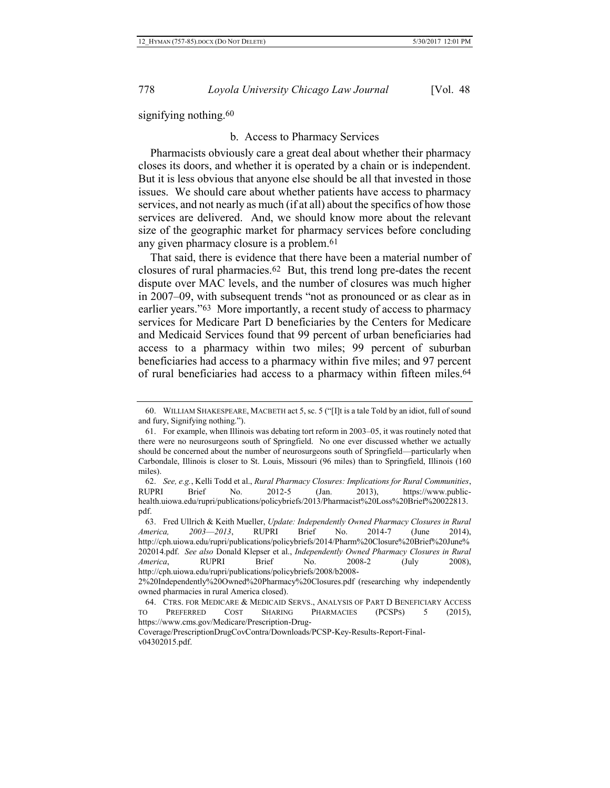signifying nothing.<sup>60</sup>

#### b. Access to Pharmacy Services

Pharmacists obviously care a great deal about whether their pharmacy closes its doors, and whether it is operated by a chain or is independent. But it is less obvious that anyone else should be all that invested in those issues. We should care about whether patients have access to pharmacy services, and not nearly as much (if at all) about the specifics of how those services are delivered. And, we should know more about the relevant size of the geographic market for pharmacy services before concluding any given pharmacy closure is a problem.<sup>61</sup>

That said, there is evidence that there have been a material number of closures of rural pharmacies.62 But, this trend long pre-dates the recent dispute over MAC levels, and the number of closures was much higher in 2007–09, with subsequent trends "not as pronounced or as clear as in earlier years."63 More importantly, a recent study of access to pharmacy services for Medicare Part D beneficiaries by the Centers for Medicare and Medicaid Services found that 99 percent of urban beneficiaries had access to a pharmacy within two miles; 99 percent of suburban beneficiaries had access to a pharmacy within five miles; and 97 percent of rural beneficiaries had access to a pharmacy within fifteen miles.64

<sup>60.</sup> WILLIAM SHAKESPEARE, MACBETH act 5, sc. 5 ("[I]t is a tale Told by an idiot, full of sound and fury, Signifying nothing.").

<sup>61.</sup> For example, when Illinois was debating tort reform in 2003–05, it was routinely noted that there were no neurosurgeons south of Springfield. No one ever discussed whether we actually should be concerned about the number of neurosurgeons south of Springfield—particularly when Carbondale, Illinois is closer to St. Louis, Missouri (96 miles) than to Springfield, Illinois (160 miles).

<sup>62.</sup> *See, e.g.*, Kelli Todd et al., *Rural Pharmacy Closures: Implications for Rural Communities*, RUPRI Brief No. 2012-5 (Jan. 2013), https://www.publichealth.uiowa.edu/rupri/publications/policybriefs/2013/Pharmacist%20Loss%20Brief%20022813. pdf.

<sup>63.</sup> Fred Ullrich & Keith Mueller, *Update: Independently Owned Pharmacy Closures in Rural America, 2003*—*2013*, RUPRI Brief No. 2014-7 (June 2014), http://cph.uiowa.edu/rupri/publications/policybriefs/2014/Pharm%20Closure%20Brief%20June% 202014.pdf. *See also* Donald Klepser et al., *Independently Owned Pharmacy Closures in Rural America*, RUPRI Brief No. 2008-2 (July 2008), http://cph.uiowa.edu/rupri/publications/policybriefs/2008/b2008-

<sup>2%20</sup>Independently%20Owned%20Pharmacy%20Closures.pdf (researching why independently owned pharmacies in rural America closed).

<sup>64.</sup> CTRS. FOR MEDICARE & MEDICAID SERVS., ANALYSIS OF PART D BENEFICIARY ACCESS TO PREFERRED COST SHARING PHARMACIES (PCSPS) 5 (2015), https://www.cms.gov/Medicare/Prescription-Drug-

Coverage/PrescriptionDrugCovContra/Downloads/PCSP-Key-Results-Report-Finalv04302015.pdf.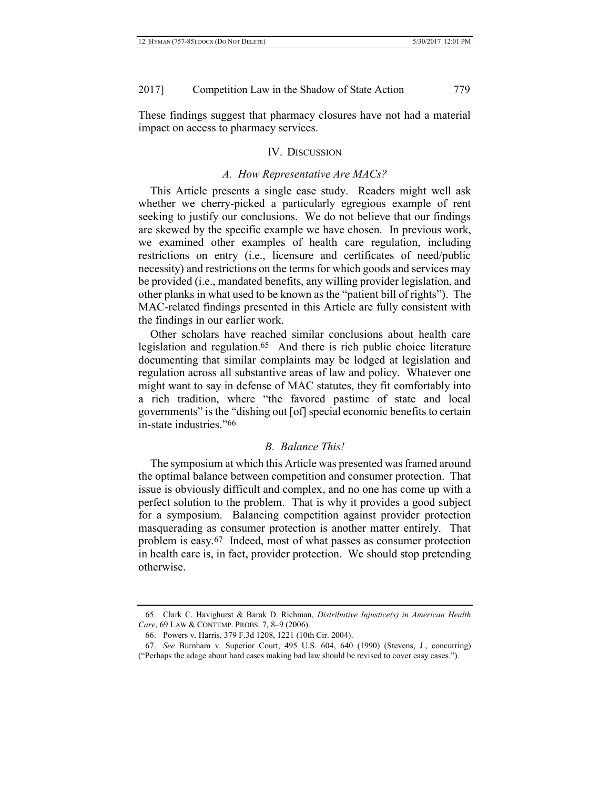These findings suggest that pharmacy closures have not had a material impact on access to pharmacy services.

#### IV. DISCUSSION

# *A. How Representative Are MACs?*

This Article presents a single case study. Readers might well ask whether we cherry-picked a particularly egregious example of rent seeking to justify our conclusions. We do not believe that our findings are skewed by the specific example we have chosen. In previous work, we examined other examples of health care regulation, including restrictions on entry (i.e., licensure and certificates of need/public necessity) and restrictions on the terms for which goods and services may be provided (i.e., mandated benefits, any willing provider legislation, and other planks in what used to be known as the "patient bill of rights"). The MAC-related findings presented in this Article are fully consistent with the findings in our earlier work.

Other scholars have reached similar conclusions about health care legislation and regulation.65 And there is rich public choice literature documenting that similar complaints may be lodged at legislation and regulation across all substantive areas of law and policy. Whatever one might want to say in defense of MAC statutes, they fit comfortably into a rich tradition, where "the favored pastime of state and local governments" is the "dishing out [of] special economic benefits to certain in-state industries "66

# *B. Balance This!*

The symposium at which this Article was presented was framed around the optimal balance between competition and consumer protection. That issue is obviously difficult and complex, and no one has come up with a perfect solution to the problem. That is why it provides a good subject for a symposium. Balancing competition against provider protection masquerading as consumer protection is another matter entirely. That problem is easy.67 Indeed, most of what passes as consumer protection in health care is, in fact, provider protection. We should stop pretending otherwise.

<sup>65.</sup> Clark C. Havighurst & Barak D. Richman, *Distributive Injustice(s) in American Health Care*, 69 LAW & CONTEMP. PROBS. 7, 8–9 (2006).

<sup>66.</sup> Powers v. Harris, 379 F.3d 1208, 1221 (10th Cir. 2004).

<sup>67.</sup> *See* Burnham v. Superior Court, 495 U.S. 604, 640 (1990) (Stevens, J., concurring) ("Perhaps the adage about hard cases making bad law should be revised to cover easy cases.").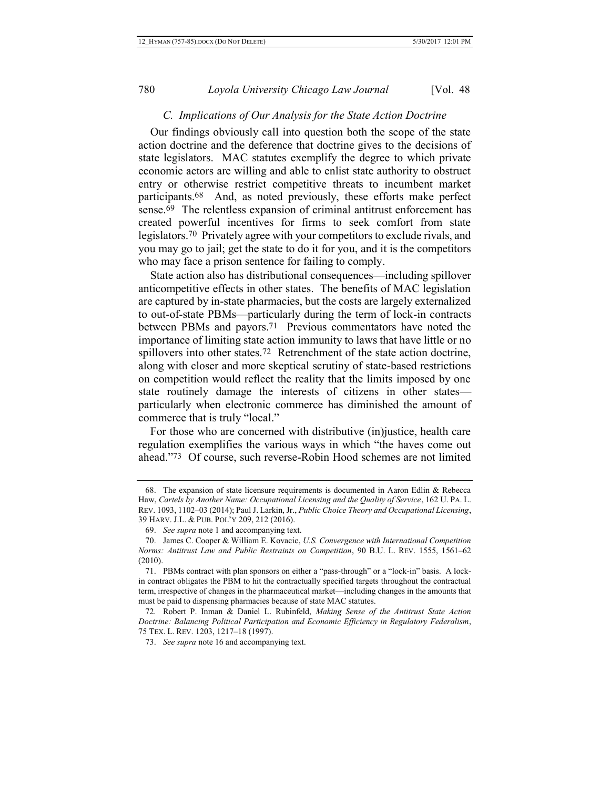# *C. Implications of Our Analysis for the State Action Doctrine*

Our findings obviously call into question both the scope of the state action doctrine and the deference that doctrine gives to the decisions of state legislators. MAC statutes exemplify the degree to which private economic actors are willing and able to enlist state authority to obstruct entry or otherwise restrict competitive threats to incumbent market participants.68 And, as noted previously, these efforts make perfect sense.69 The relentless expansion of criminal antitrust enforcement has created powerful incentives for firms to seek comfort from state legislators.70 Privately agree with your competitors to exclude rivals, and you may go to jail; get the state to do it for you, and it is the competitors who may face a prison sentence for failing to comply.

<span id="page-24-0"></span>State action also has distributional consequences—including spillover anticompetitive effects in other states. The benefits of MAC legislation are captured by in-state pharmacies, but the costs are largely externalized to out-of-state PBMs—particularly during the term of lock-in contracts between PBMs and payors.71 Previous commentators have noted the importance of limiting state action immunity to laws that have little or no spillovers into other states.<sup>72</sup> Retrenchment of the state action doctrine, along with closer and more skeptical scrutiny of state-based restrictions on competition would reflect the reality that the limits imposed by one state routinely damage the interests of citizens in other states particularly when electronic commerce has diminished the amount of commerce that is truly "local."

For those who are concerned with distributive (in)justice, health care regulation exemplifies the various ways in which "the haves come out ahead."73 Of course, such reverse-Robin Hood schemes are not limited

<sup>68.</sup> The expansion of state licensure requirements is documented in Aaron Edlin & Rebecca Haw, *Cartels by Another Name: Occupational Licensing and the Quality of Service*, 162 U. PA. L. REV. 1093, 1102–03 (2014); Paul J. Larkin, Jr., *Public Choice Theory and Occupational Licensing*, 39 HARV. J.L. & PUB. POL'Y 209, 212 (2016).

<sup>69.</sup> *See supra* note [1](#page-2-0) and accompanying text.

<sup>70.</sup> James C. Cooper & William E. Kovacic, *U.S. Convergence with International Competition Norms: Antitrust Law and Public Restraints on Competition*, 90 B.U. L. REV. 1555, 1561–62 (2010).

<sup>71.</sup> PBMs contract with plan sponsors on either a "pass-through" or a "lock-in" basis. A lockin contract obligates the PBM to hit the contractually specified targets throughout the contractual term, irrespective of changes in the pharmaceutical market—including changes in the amounts that must be paid to dispensing pharmacies because of state MAC statutes.

<sup>72</sup>*.* Robert P. Inman & Daniel L. Rubinfeld, *Making Sense of the Antitrust State Action Doctrine: Balancing Political Participation and Economic Efficiency in Regulatory Federalism*, 75 TEX. L. REV. 1203, 1217–18 (1997).

<sup>73.</sup> *See supra* note [16](#page-7-0) and accompanying text.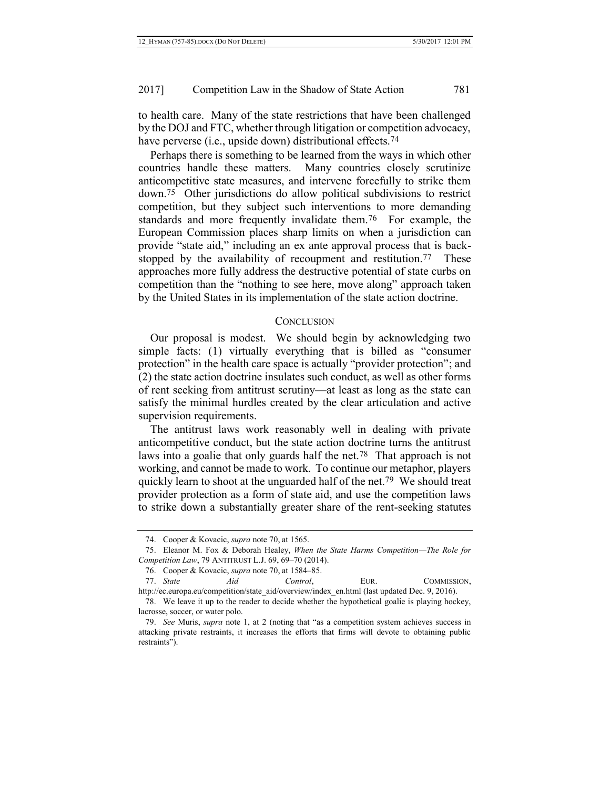to health care. Many of the state restrictions that have been challenged by the DOJ and FTC, whether through litigation or competition advocacy, have perverse (i.e., upside down) distributional effects.<sup>74</sup>

Perhaps there is something to be learned from the ways in which other countries handle these matters. Many countries closely scrutinize anticompetitive state measures, and intervene forcefully to strike them down.75 Other jurisdictions do allow political subdivisions to restrict competition, but they subject such interventions to more demanding standards and more frequently invalidate them.76 For example, the European Commission places sharp limits on when a jurisdiction can provide "state aid," including an ex ante approval process that is backstopped by the availability of recoupment and restitution.<sup>77</sup> These approaches more fully address the destructive potential of state curbs on competition than the "nothing to see here, move along" approach taken by the United States in its implementation of the state action doctrine.

#### **CONCLUSION**

Our proposal is modest. We should begin by acknowledging two simple facts: (1) virtually everything that is billed as "consumer protection" in the health care space is actually "provider protection"; and (2) the state action doctrine insulates such conduct, as well as other forms of rent seeking from antitrust scrutiny—at least as long as the state can satisfy the minimal hurdles created by the clear articulation and active supervision requirements.

The antitrust laws work reasonably well in dealing with private anticompetitive conduct, but the state action doctrine turns the antitrust laws into a goalie that only guards half the net.78 That approach is not working, and cannot be made to work. To continue our metaphor, players quickly learn to shoot at the unguarded half of the net.79 We should treat provider protection as a form of state aid, and use the competition laws to strike down a substantially greater share of the rent-seeking statutes

<sup>74.</sup> Cooper & Kovacic, *supra* not[e 70,](#page-24-0) at 1565.

<sup>75.</sup> Eleanor M. Fox & Deborah Healey, *When the State Harms Competition—The Role for Competition Law*, 79 ANTITRUST L.J. 69, 69–70 (2014).

<sup>76.</sup> Cooper & Kovacic, *supra* not[e 70,](#page-24-0) at 1584–85.

<sup>77.</sup> *State Aid Control*, EUR. COMMISSION, http://ec.europa.eu/competition/state\_aid/overview/index\_en.html (last updated Dec. 9, 2016).

<sup>78.</sup> We leave it up to the reader to decide whether the hypothetical goalie is playing hockey, lacrosse, soccer, or water polo.

<sup>79.</sup> *See* Muris, *supra* note [1,](#page-2-0) at 2 (noting that "as a competition system achieves success in attacking private restraints, it increases the efforts that firms will devote to obtaining public restraints").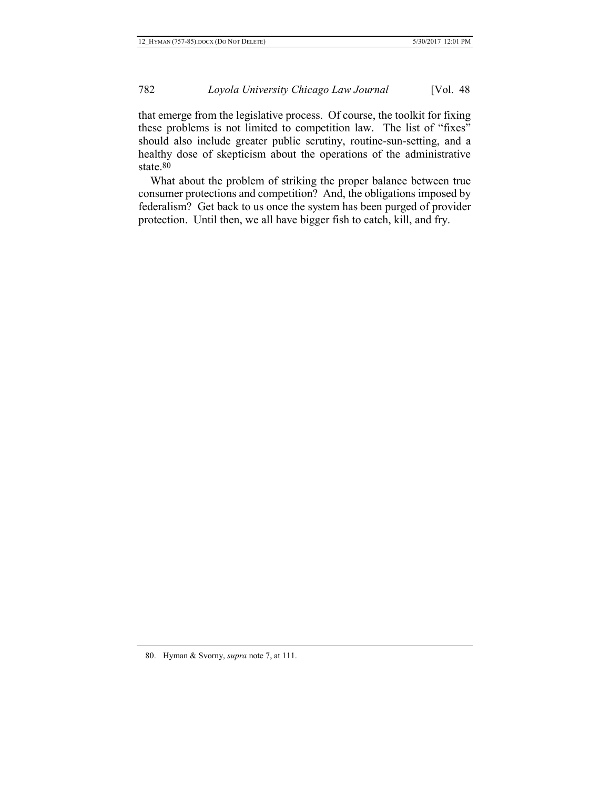that emerge from the legislative process. Of course, the toolkit for fixing these problems is not limited to competition law. The list of "fixes" should also include greater public scrutiny, routine-sun-setting, and a healthy dose of skepticism about the operations of the administrative state.80

What about the problem of striking the proper balance between true consumer protections and competition? And, the obligations imposed by federalism? Get back to us once the system has been purged of provider protection. Until then, we all have bigger fish to catch, kill, and fry.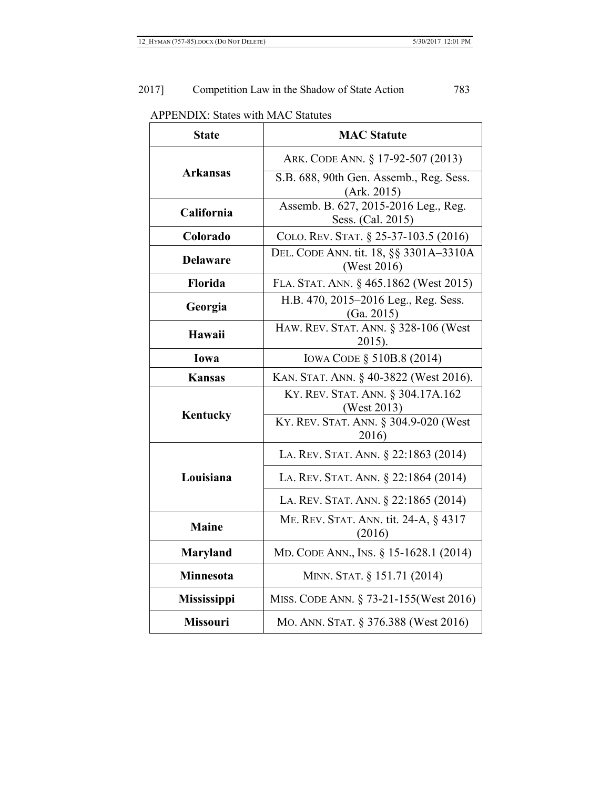APPENDIX: States with MAC Statutes

| <b>State</b>       | <b>MAC Statute</b>                                        |
|--------------------|-----------------------------------------------------------|
| <b>Arkansas</b>    | ARK. CODE ANN. § 17-92-507 (2013)                         |
|                    | S.B. 688, 90th Gen. Assemb., Reg. Sess.<br>(Ark. 2015)    |
| California         | Assemb. B. 627, 2015-2016 Leg., Reg.<br>Sess. (Cal. 2015) |
| Colorado           | COLO. REV. STAT. § 25-37-103.5 (2016)                     |
| <b>Delaware</b>    | DEL. CODE ANN. tit. 18, §§ 3301A-3310A<br>(West 2016)     |
| Florida            | FLA. STAT. ANN. § 465.1862 (West 2015)                    |
| Georgia            | H.B. 470, 2015–2016 Leg., Reg. Sess.<br>(Ga. 2015)        |
| Hawaii             | HAW. REV. STAT. ANN. § 328-106 (West<br>2015).            |
| Iowa               | IOWA CODE § 510B.8 (2014)                                 |
| <b>Kansas</b>      | KAN. STAT. ANN. § 40-3822 (West 2016).                    |
| Kentucky           | KY. REV. STAT. ANN. § 304.17A.162<br>(West 2013)          |
|                    | KY. REV. STAT. ANN. § 304.9-020 (West<br>2016)            |
|                    | LA. REV. STAT. ANN. § 22:1863 (2014)                      |
| Louisiana          | LA. REV. STAT. ANN. § 22:1864 (2014)                      |
|                    | LA. REV. STAT. ANN. § 22:1865 (2014)                      |
| <b>Maine</b>       | ME. REV. STAT. ANN. tit. 24-A, § 4317<br>(2016)           |
| <b>Maryland</b>    | MD. CODE ANN., INS. § 15-1628.1 (2014)                    |
| Minnesota          | MINN. STAT. § 151.71 (2014)                               |
| <b>Mississippi</b> | MISS. CODE ANN. § 73-21-155 (West 2016)                   |
| <b>Missouri</b>    | MO. ANN. STAT. § 376.388 (West 2016)                      |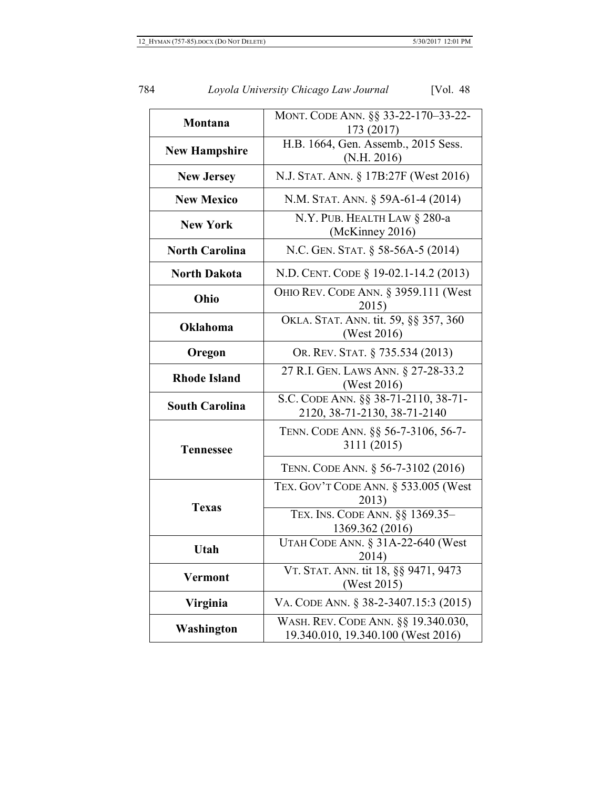| Montana               | MONT. CODE ANN. §§ 33-22-170-33-22-<br>173 (2017)                         |
|-----------------------|---------------------------------------------------------------------------|
| <b>New Hampshire</b>  | H.B. 1664, Gen. Assemb., 2015 Sess.<br>(N.H. 2016)                        |
| <b>New Jersey</b>     | N.J. STAT. ANN. § 17B:27F (West 2016)                                     |
| <b>New Mexico</b>     | N.M. STAT. ANN. § 59A-61-4 (2014)                                         |
| <b>New York</b>       | N.Y. PUB. HEALTH LAW § 280-a<br>(McKinney 2016)                           |
| <b>North Carolina</b> | N.C. GEN. STAT. § 58-56A-5 (2014)                                         |
| <b>North Dakota</b>   | N.D. CENT. CODE § 19-02.1-14.2 (2013)                                     |
| Ohio                  | OHIO REV. CODE ANN. § 3959.111 (West<br>2015)                             |
| Oklahoma              | OKLA. STAT. ANN. tit. 59, §§ 357, 360<br>(West 2016)                      |
| Oregon                | OR. REV. STAT. § 735.534 (2013)                                           |
| <b>Rhode Island</b>   | 27 R.I. GEN. LAWS ANN. § 27-28-33.2<br>(West 2016)                        |
| <b>South Carolina</b> | S.C. CODE ANN. §§ 38-71-2110, 38-71-<br>2120, 38-71-2130, 38-71-2140      |
| <b>Tennessee</b>      | TENN. CODE ANN. §§ 56-7-3106, 56-7-<br>3111 (2015)                        |
|                       | TENN. CODE ANN. § 56-7-3102 (2016)                                        |
| <b>Texas</b>          | TEX. GOV'T CODE ANN. § 533.005 (West<br>2013)                             |
|                       | TEX. INS. CODE ANN. §§ 1369.35-<br>1369.362 (2016)                        |
| Utah                  | <b>UTAH CODE ANN. § 31A-22-640 (West</b><br>2014)                         |
| <b>Vermont</b>        | VT. STAT. ANN. tit 18, §§ 9471, 9473<br>(West 2015)                       |
| Virginia              | VA. CODE ANN. § 38-2-3407.15:3 (2015)                                     |
| Washington            | WASH. REV. CODE ANN. §§ 19.340.030,<br>19.340.010, 19.340.100 (West 2016) |